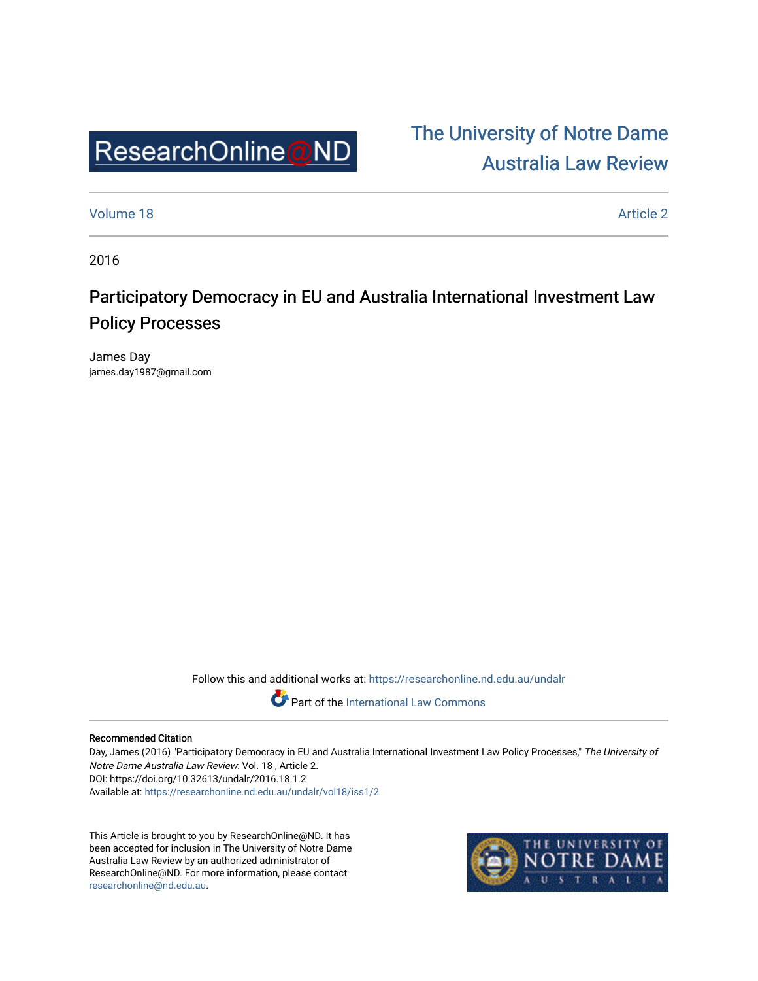

# [The University of Notre Dame](https://researchonline.nd.edu.au/undalr)  [Australia Law Review](https://researchonline.nd.edu.au/undalr)

[Volume 18](https://researchonline.nd.edu.au/undalr/vol18) Article 2

2016

## Participatory Democracy in EU and Australia International Investment Law Policy Processes

James Day james.day1987@gmail.com

Follow this and additional works at: [https://researchonline.nd.edu.au/undalr](https://researchonline.nd.edu.au/undalr?utm_source=researchonline.nd.edu.au%2Fundalr%2Fvol18%2Fiss1%2F2&utm_medium=PDF&utm_campaign=PDFCoverPages) 

Part of the [International Law Commons](http://network.bepress.com/hgg/discipline/609?utm_source=researchonline.nd.edu.au%2Fundalr%2Fvol18%2Fiss1%2F2&utm_medium=PDF&utm_campaign=PDFCoverPages)

#### Recommended Citation

Day, James (2016) "Participatory Democracy in EU and Australia International Investment Law Policy Processes," The University of Notre Dame Australia Law Review: Vol. 18 , Article 2. DOI: https://doi.org/10.32613/undalr/2016.18.1.2 Available at: [https://researchonline.nd.edu.au/undalr/vol18/iss1/2](https://researchonline.nd.edu.au/undalr/vol18/iss1/2?utm_source=researchonline.nd.edu.au%2Fundalr%2Fvol18%2Fiss1%2F2&utm_medium=PDF&utm_campaign=PDFCoverPages)

This Article is brought to you by ResearchOnline@ND. It has been accepted for inclusion in The University of Notre Dame Australia Law Review by an authorized administrator of ResearchOnline@ND. For more information, please contact [researchonline@nd.edu.au.](mailto:researchonline@nd.edu.au)

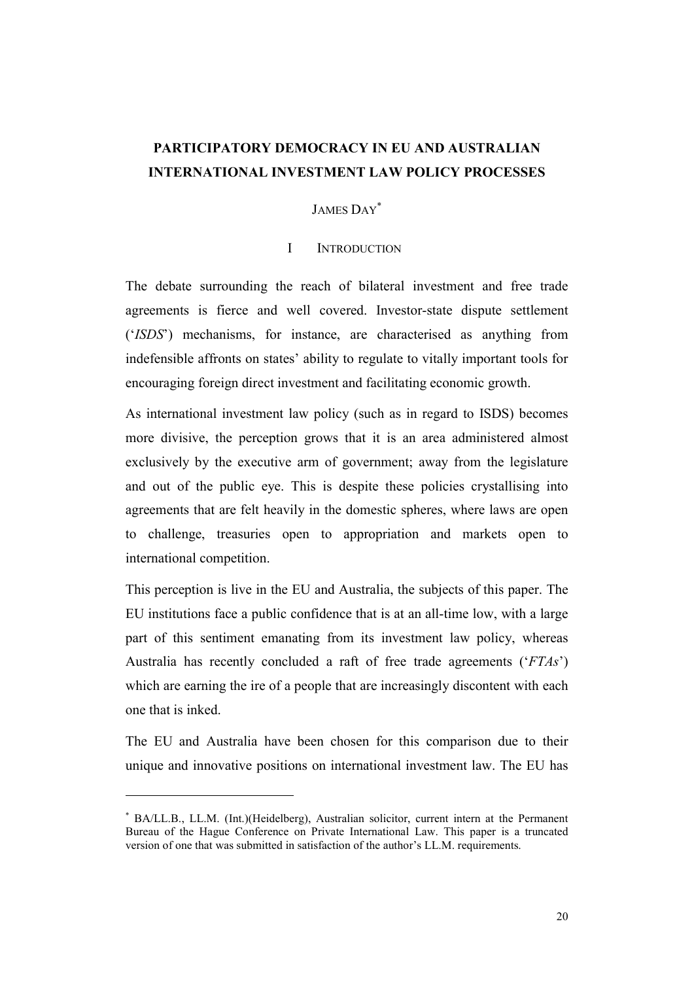## PARTICIPATORY DEMOCRACY IN EU AND AUSTRALIAN INTERNATIONAL INVESTMENT LAW POLICY PROCESSES

## JAMES DAY\*

#### I INTRODUCTION

The debate surrounding the reach of bilateral investment and free trade agreements is fierce and well covered. Investor-state dispute settlement ('ISDS') mechanisms, for instance, are characterised as anything from indefensible affronts on states' ability to regulate to vitally important tools for encouraging foreign direct investment and facilitating economic growth.

As international investment law policy (such as in regard to ISDS) becomes more divisive, the perception grows that it is an area administered almost exclusively by the executive arm of government; away from the legislature and out of the public eye. This is despite these policies crystallising into agreements that are felt heavily in the domestic spheres, where laws are open to challenge, treasuries open to appropriation and markets open to international competition.

This perception is live in the EU and Australia, the subjects of this paper. The EU institutions face a public confidence that is at an all-time low, with a large part of this sentiment emanating from its investment law policy, whereas Australia has recently concluded a raft of free trade agreements ('FTAs') which are earning the ire of a people that are increasingly discontent with each one that is inked.

The EU and Australia have been chosen for this comparison due to their unique and innovative positions on international investment law. The EU has

<sup>\*</sup> BA/LL.B., LL.M. (Int.)(Heidelberg), Australian solicitor, current intern at the Permanent Bureau of the Hague Conference on Private International Law. This paper is a truncated version of one that was submitted in satisfaction of the author's LL.M. requirements.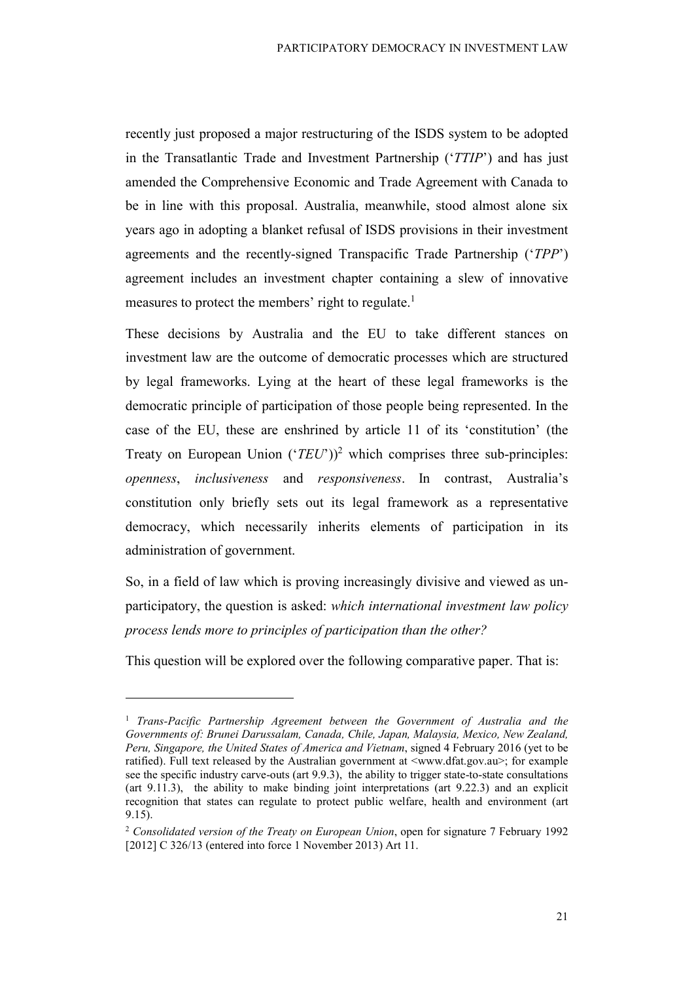recently just proposed a major restructuring of the ISDS system to be adopted in the Transatlantic Trade and Investment Partnership ('TTIP') and has just amended the Comprehensive Economic and Trade Agreement with Canada to be in line with this proposal. Australia, meanwhile, stood almost alone six years ago in adopting a blanket refusal of ISDS provisions in their investment agreements and the recently-signed Transpacific Trade Partnership ('TPP') agreement includes an investment chapter containing a slew of innovative measures to protect the members' right to regulate.<sup>1</sup>

These decisions by Australia and the EU to take different stances on investment law are the outcome of democratic processes which are structured by legal frameworks. Lying at the heart of these legal frameworks is the democratic principle of participation of those people being represented. In the case of the EU, these are enshrined by article 11 of its 'constitution' (the Treaty on European Union  $(TEU')^2$  which comprises three sub-principles: openness, inclusiveness and responsiveness. In contrast, Australia's constitution only briefly sets out its legal framework as a representative democracy, which necessarily inherits elements of participation in its administration of government.

So, in a field of law which is proving increasingly divisive and viewed as unparticipatory, the question is asked: which international investment law policy process lends more to principles of participation than the other?

This question will be explored over the following comparative paper. That is:

<sup>&</sup>lt;sup>1</sup> Trans-Pacific Partnership Agreement between the Government of Australia and the Governments of: Brunei Darussalam, Canada, Chile, Japan, Malaysia, Mexico, New Zealand, Peru, Singapore, the United States of America and Vietnam, signed 4 February 2016 (yet to be ratified). Full text released by the Australian government at  $\langle www.dfat.gov.au\rangle$ ; for example see the specific industry carve-outs (art 9.9.3), the ability to trigger state-to-state consultations (art 9.11.3), the ability to make binding joint interpretations (art 9.22.3) and an explicit recognition that states can regulate to protect public welfare, health and environment (art 9.15).

 $2$  Consolidated version of the Treaty on European Union, open for signature 7 February 1992 [2012] C 326/13 (entered into force 1 November 2013) Art 11.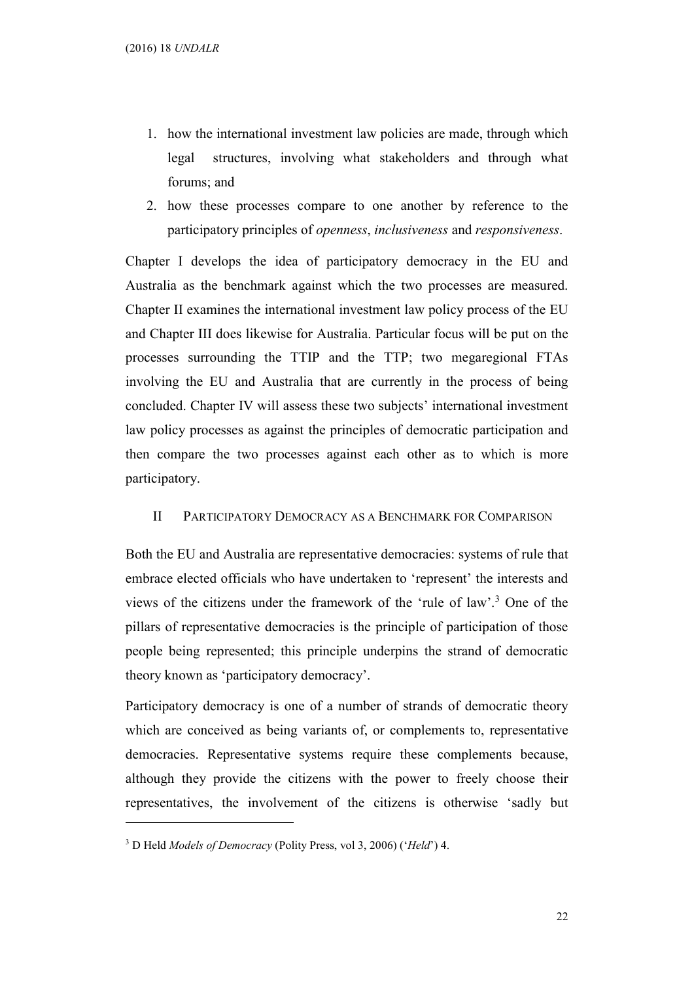- 1. how the international investment law policies are made, through which legal structures, involving what stakeholders and through what forums; and
- 2. how these processes compare to one another by reference to the participatory principles of openness, inclusiveness and responsiveness.

Chapter I develops the idea of participatory democracy in the EU and Australia as the benchmark against which the two processes are measured. Chapter II examines the international investment law policy process of the EU and Chapter III does likewise for Australia. Particular focus will be put on the processes surrounding the TTIP and the TTP; two megaregional FTAs involving the EU and Australia that are currently in the process of being concluded. Chapter IV will assess these two subjects' international investment law policy processes as against the principles of democratic participation and then compare the two processes against each other as to which is more participatory.

### II PARTICIPATORY DEMOCRACY AS A BENCHMARK FOR COMPARISON

Both the EU and Australia are representative democracies: systems of rule that embrace elected officials who have undertaken to 'represent' the interests and views of the citizens under the framework of the 'rule of law'.<sup>3</sup> One of the pillars of representative democracies is the principle of participation of those people being represented; this principle underpins the strand of democratic theory known as 'participatory democracy'.

Participatory democracy is one of a number of strands of democratic theory which are conceived as being variants of, or complements to, representative democracies. Representative systems require these complements because, although they provide the citizens with the power to freely choose their representatives, the involvement of the citizens is otherwise 'sadly but

<sup>&</sup>lt;sup>3</sup> D Held Models of Democracy (Polity Press, vol 3, 2006) ('Held') 4.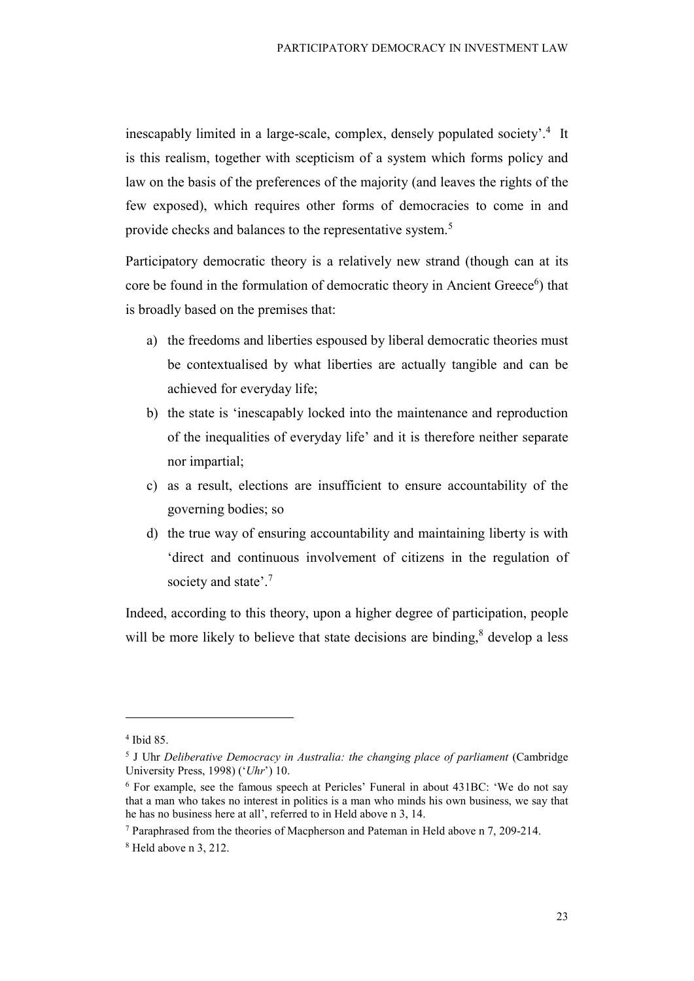inescapably limited in a large-scale, complex, densely populated society'.<sup>4</sup> It is this realism, together with scepticism of a system which forms policy and law on the basis of the preferences of the majority (and leaves the rights of the few exposed), which requires other forms of democracies to come in and provide checks and balances to the representative system.<sup>5</sup>

Participatory democratic theory is a relatively new strand (though can at its core be found in the formulation of democratic theory in Ancient Greece<sup>6</sup>) that is broadly based on the premises that:

- a) the freedoms and liberties espoused by liberal democratic theories must be contextualised by what liberties are actually tangible and can be achieved for everyday life;
- b) the state is 'inescapably locked into the maintenance and reproduction of the inequalities of everyday life' and it is therefore neither separate nor impartial;
- c) as a result, elections are insufficient to ensure accountability of the governing bodies; so
- d) the true way of ensuring accountability and maintaining liberty is with 'direct and continuous involvement of citizens in the regulation of society and state'.<sup>7</sup>

Indeed, according to this theory, upon a higher degree of participation, people will be more likely to believe that state decisions are binding, $<sup>8</sup>$  develop a less</sup>

<sup>4</sup> Ibid 85.

<sup>&</sup>lt;sup>5</sup> J Uhr Deliberative Democracy in Australia: the changing place of parliament (Cambridge University Press, 1998) ( $'Uhr'$ ) 10.

<sup>6</sup> For example, see the famous speech at Pericles' Funeral in about 431BC: 'We do not say that a man who takes no interest in politics is a man who minds his own business, we say that he has no business here at all', referred to in Held above n 3, 14.

<sup>&</sup>lt;sup>7</sup> Paraphrased from the theories of Macpherson and Pateman in Held above n 7, 209-214.

 $8$  Held above n 3, 212.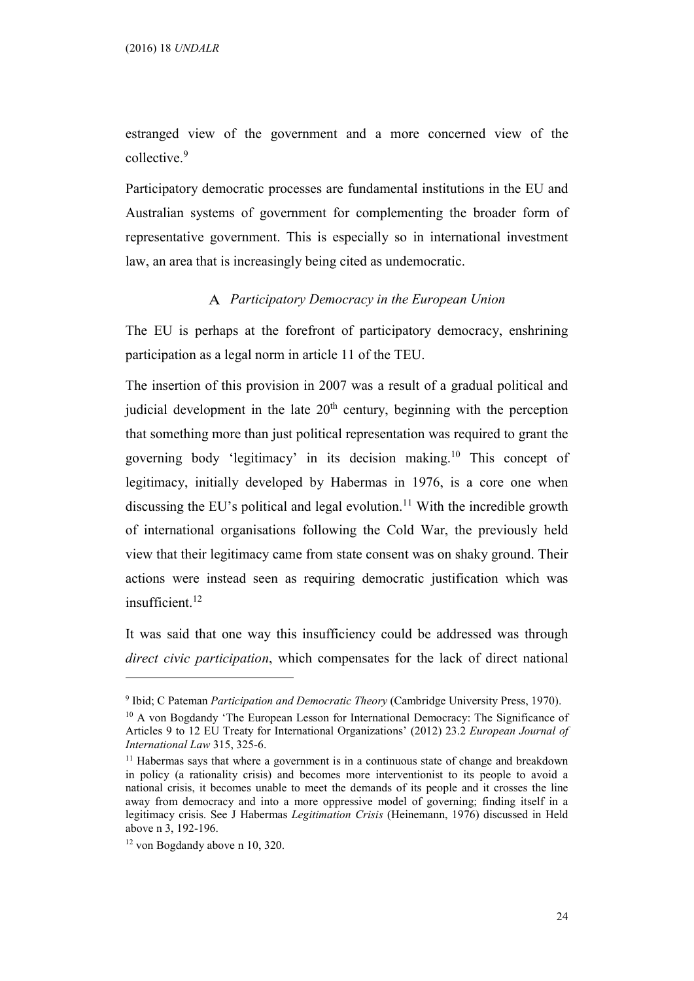estranged view of the government and a more concerned view of the collective.<sup>9</sup>

Participatory democratic processes are fundamental institutions in the EU and Australian systems of government for complementing the broader form of representative government. This is especially so in international investment law, an area that is increasingly being cited as undemocratic.

#### Participatory Democracy in the European Union

The EU is perhaps at the forefront of participatory democracy, enshrining participation as a legal norm in article 11 of the TEU.

The insertion of this provision in 2007 was a result of a gradual political and judicial development in the late  $20<sup>th</sup>$  century, beginning with the perception that something more than just political representation was required to grant the governing body 'legitimacy' in its decision making.<sup>10</sup> This concept of legitimacy, initially developed by Habermas in 1976, is a core one when discussing the EU's political and legal evolution.<sup>11</sup> With the incredible growth of international organisations following the Cold War, the previously held view that their legitimacy came from state consent was on shaky ground. Their actions were instead seen as requiring democratic justification which was insufficient.<sup>12</sup>

It was said that one way this insufficiency could be addressed was through direct civic participation, which compensates for the lack of direct national

<sup>&</sup>lt;sup>9</sup> Ibid; C Pateman Participation and Democratic Theory (Cambridge University Press, 1970).

<sup>&</sup>lt;sup>10</sup> A von Bogdandy 'The European Lesson for International Democracy: The Significance of Articles 9 to 12 EU Treaty for International Organizations' (2012) 23.2 European Journal of International Law 315, 325-6.

 $11$  Habermas says that where a government is in a continuous state of change and breakdown in policy (a rationality crisis) and becomes more interventionist to its people to avoid a national crisis, it becomes unable to meet the demands of its people and it crosses the line away from democracy and into a more oppressive model of governing; finding itself in a legitimacy crisis. See J Habermas Legitimation Crisis (Heinemann, 1976) discussed in Held above n 3, 192-196.

<sup>12</sup> von Bogdandy above n 10, 320.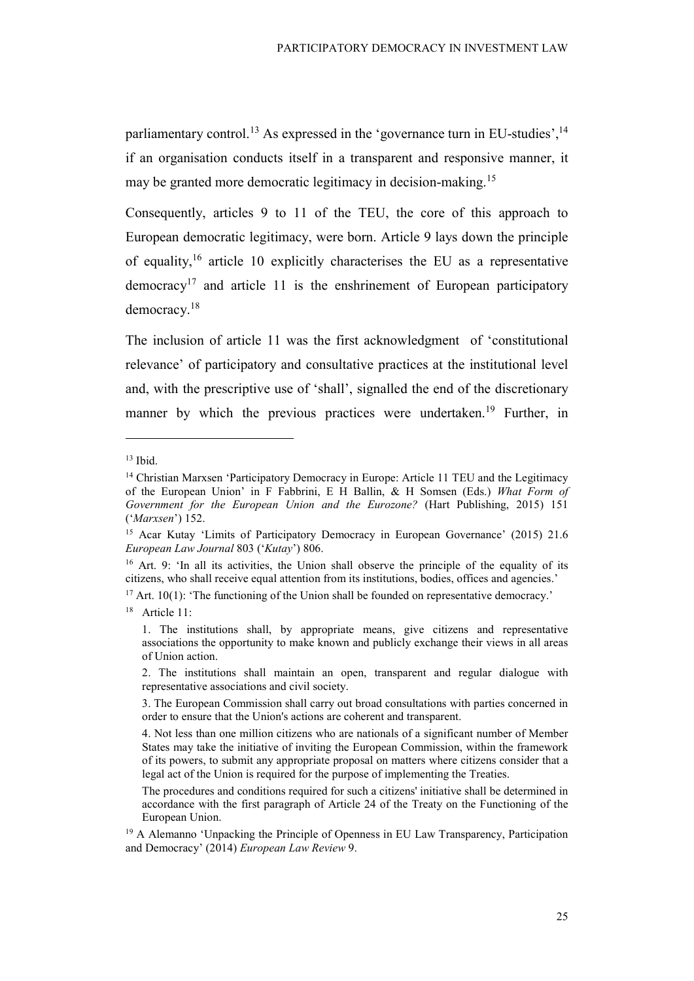parliamentary control.<sup>13</sup> As expressed in the 'governance turn in EU-studies',  $14$ if an organisation conducts itself in a transparent and responsive manner, it may be granted more democratic legitimacy in decision-making.<sup>15</sup>

Consequently, articles 9 to 11 of the TEU, the core of this approach to European democratic legitimacy, were born. Article 9 lays down the principle of equality,  $16$  article 10 explicitly characterises the EU as a representative democracy<sup>17</sup> and article 11 is the enshrinement of European participatory democracy.<sup>18</sup>

The inclusion of article 11 was the first acknowledgment of 'constitutional relevance' of participatory and consultative practices at the institutional level and, with the prescriptive use of 'shall', signalled the end of the discretionary manner by which the previous practices were undertaken.<sup>19</sup> Further, in

<sup>13</sup> Ibid.

<sup>&</sup>lt;sup>14</sup> Christian Marxsen 'Participatory Democracy in Europe: Article 11 TEU and the Legitimacy of the European Union' in F Fabbrini, E H Ballin, & H Somsen (Eds.) What Form of Government for the European Union and the Eurozone? (Hart Publishing, 2015) 151 ('Marxsen') 152.

<sup>&</sup>lt;sup>15</sup> Acar Kutay 'Limits of Participatory Democracy in European Governance' (2015) 21.6 European Law Journal 803 ('Kutay') 806.

 $16$  Art. 9: 'In all its activities, the Union shall observe the principle of the equality of its citizens, who shall receive equal attention from its institutions, bodies, offices and agencies.'

<sup>&</sup>lt;sup>17</sup> Art. 10(1): 'The functioning of the Union shall be founded on representative democracy.'

<sup>&</sup>lt;sup>18</sup> Article 11:

<sup>1.</sup> The institutions shall, by appropriate means, give citizens and representative associations the opportunity to make known and publicly exchange their views in all areas of Union action.

<sup>2.</sup> The institutions shall maintain an open, transparent and regular dialogue with representative associations and civil society.

<sup>3.</sup> The European Commission shall carry out broad consultations with parties concerned in order to ensure that the Union's actions are coherent and transparent.

<sup>4.</sup> Not less than one million citizens who are nationals of a significant number of Member States may take the initiative of inviting the European Commission, within the framework of its powers, to submit any appropriate proposal on matters where citizens consider that a legal act of the Union is required for the purpose of implementing the Treaties.

The procedures and conditions required for such a citizens' initiative shall be determined in accordance with the first paragraph of Article 24 of the Treaty on the Functioning of the European Union.

<sup>&</sup>lt;sup>19</sup> A Alemanno 'Unpacking the Principle of Openness in EU Law Transparency, Participation and Democracy' (2014) European Law Review 9.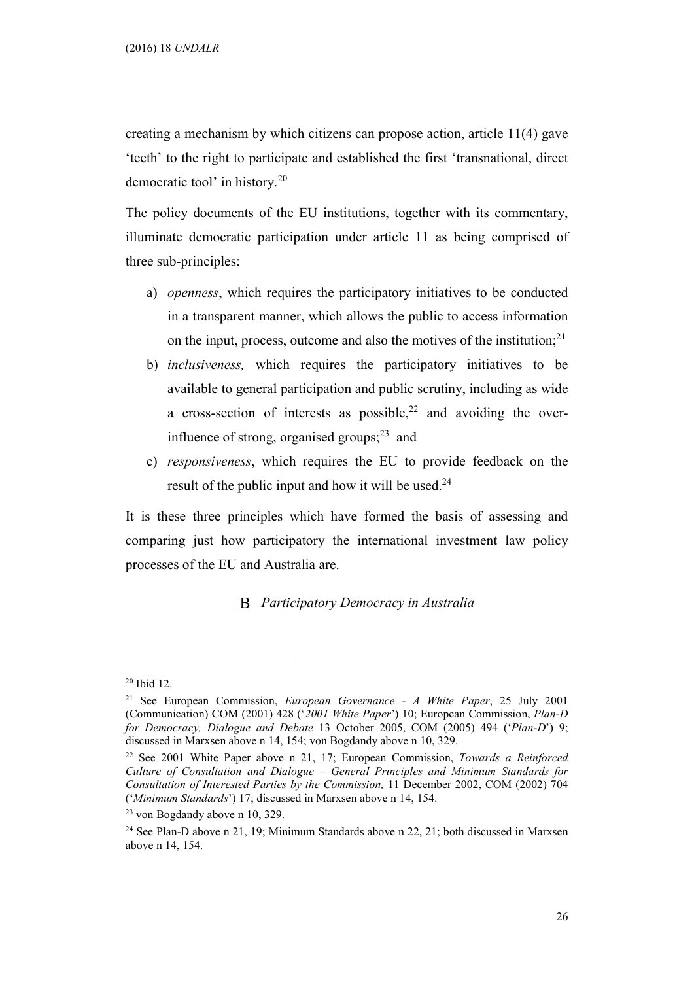creating a mechanism by which citizens can propose action, article 11(4) gave 'teeth' to the right to participate and established the first 'transnational, direct democratic tool' in history.<sup>20</sup>

The policy documents of the EU institutions, together with its commentary, illuminate democratic participation under article 11 as being comprised of three sub-principles:

- a) openness, which requires the participatory initiatives to be conducted in a transparent manner, which allows the public to access information on the input, process, outcome and also the motives of the institution; $^{21}$
- b) inclusiveness, which requires the participatory initiatives to be available to general participation and public scrutiny, including as wide a cross-section of interests as possible,<sup>22</sup> and avoiding the overinfluence of strong, organised groups; $^{23}$  and
- c) responsiveness, which requires the EU to provide feedback on the result of the public input and how it will be used. $24$

It is these three principles which have formed the basis of assessing and comparing just how participatory the international investment law policy processes of the EU and Australia are.

#### **B** Participatory Democracy in Australia

<sup>20</sup> Ibid 12.

<sup>&</sup>lt;sup>21</sup> See European Commission, *European Governance - A White Paper*, 25 July 2001 (Communication) COM (2001) 428 ('2001 White Paper') 10; European Commission, Plan-D for Democracy, Dialogue and Debate 13 October 2005, COM (2005) 494 ('Plan-D') 9; discussed in Marxsen above n 14, 154; von Bogdandy above n 10, 329.

<sup>&</sup>lt;sup>22</sup> See 2001 White Paper above n 21, 17; European Commission, Towards a Reinforced Culture of Consultation and Dialogue – General Principles and Minimum Standards for Consultation of Interested Parties by the Commission, 11 December 2002, COM (2002) 704 ('Minimum Standards') 17; discussed in Marxsen above n 14, 154.

<sup>23</sup> von Bogdandy above n 10, 329.

<sup>24</sup> See Plan-D above n 21, 19; Minimum Standards above n 22, 21; both discussed in Marxsen above n 14, 154.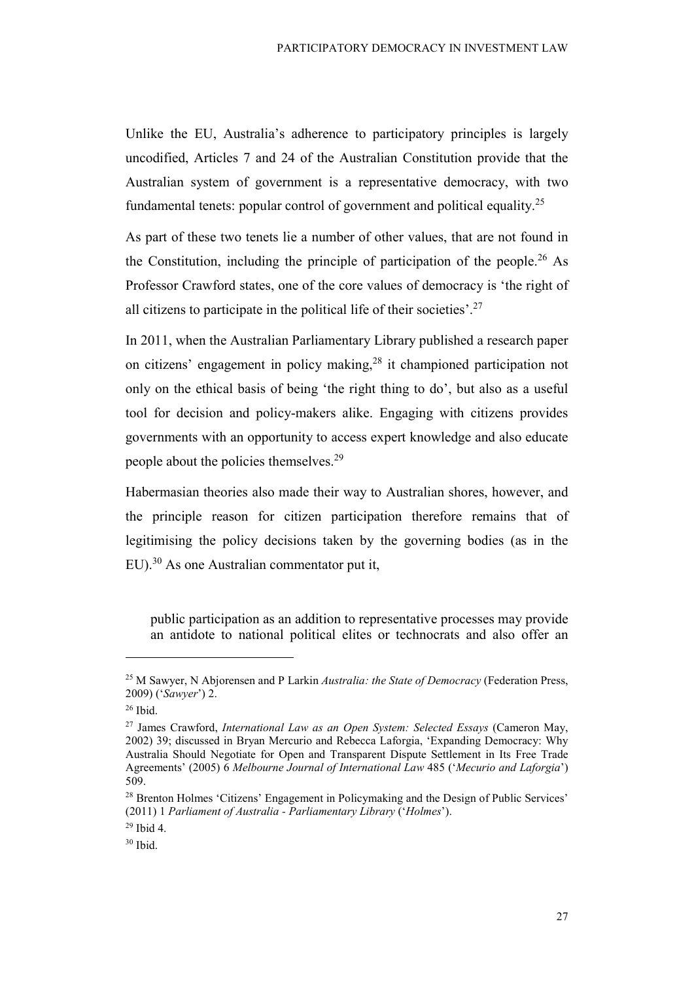Unlike the EU, Australia's adherence to participatory principles is largely uncodified, Articles 7 and 24 of the Australian Constitution provide that the Australian system of government is a representative democracy, with two fundamental tenets: popular control of government and political equality.<sup>25</sup>

As part of these two tenets lie a number of other values, that are not found in the Constitution, including the principle of participation of the people.<sup>26</sup> As Professor Crawford states, one of the core values of democracy is 'the right of all citizens to participate in the political life of their societies'.<sup>27</sup>

In 2011, when the Australian Parliamentary Library published a research paper on citizens' engagement in policy making,<sup>28</sup> it championed participation not only on the ethical basis of being 'the right thing to do', but also as a useful tool for decision and policy-makers alike. Engaging with citizens provides governments with an opportunity to access expert knowledge and also educate people about the policies themselves.<sup>29</sup>

Habermasian theories also made their way to Australian shores, however, and the principle reason for citizen participation therefore remains that of legitimising the policy decisions taken by the governing bodies (as in the EU).<sup>30</sup> As one Australian commentator put it,

public participation as an addition to representative processes may provide an antidote to national political elites or technocrats and also offer an

<sup>&</sup>lt;sup>25</sup> M Sawyer, N Abjorensen and P Larkin *Australia: the State of Democracy* (Federation Press, 2009) ('Sawyer') 2.

<sup>26</sup> Ibid.

 $27$  James Crawford, International Law as an Open System: Selected Essays (Cameron May, 2002) 39; discussed in Bryan Mercurio and Rebecca Laforgia, 'Expanding Democracy: Why Australia Should Negotiate for Open and Transparent Dispute Settlement in Its Free Trade Agreements' (2005) 6 Melbourne Journal of International Law 485 ('Mecurio and Laforgia') 509.

<sup>&</sup>lt;sup>28</sup> Brenton Holmes 'Citizens' Engagement in Policymaking and the Design of Public Services' (2011) 1 Parliament of Australia - Parliamentary Library ('Holmes').

<sup>29</sup> Ibid 4.

 $30$  Ibid.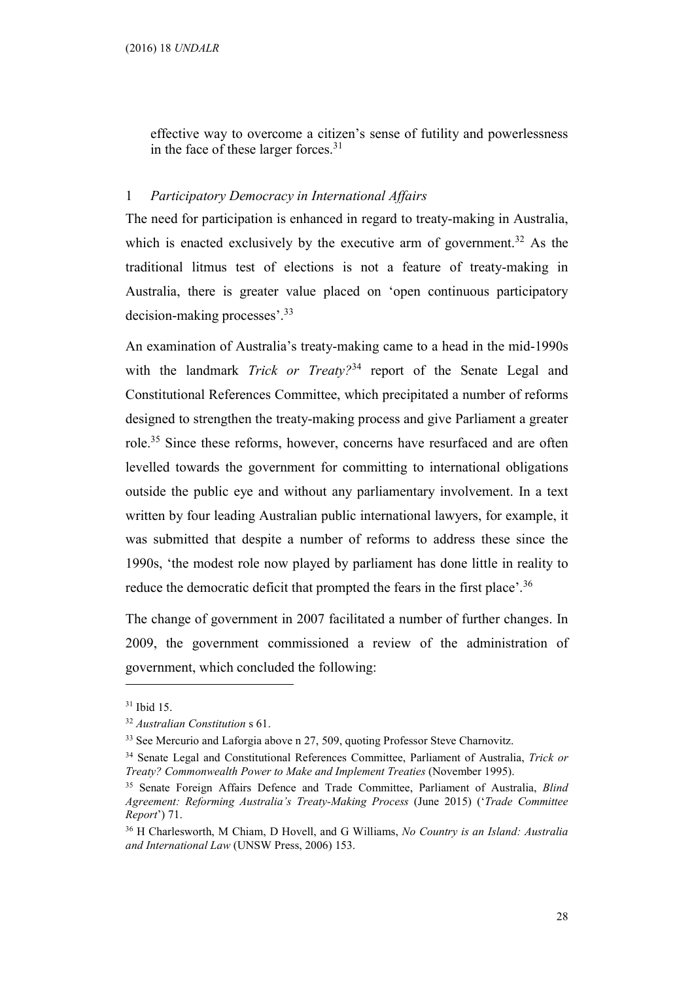effective way to overcome a citizen's sense of futility and powerlessness in the face of these larger forces.<sup>31</sup>

## 1 Participatory Democracy in International Affairs

The need for participation is enhanced in regard to treaty-making in Australia, which is enacted exclusively by the executive arm of government.<sup>32</sup> As the traditional litmus test of elections is not a feature of treaty-making in Australia, there is greater value placed on 'open continuous participatory decision-making processes'.<sup>33</sup>

An examination of Australia's treaty-making came to a head in the mid-1990s with the landmark *Trick or Treaty*?<sup>34</sup> report of the Senate Legal and Constitutional References Committee, which precipitated a number of reforms designed to strengthen the treaty-making process and give Parliament a greater role.<sup>35</sup> Since these reforms, however, concerns have resurfaced and are often levelled towards the government for committing to international obligations outside the public eye and without any parliamentary involvement. In a text written by four leading Australian public international lawyers, for example, it was submitted that despite a number of reforms to address these since the 1990s, 'the modest role now played by parliament has done little in reality to reduce the democratic deficit that prompted the fears in the first place'.<sup>36</sup>

The change of government in 2007 facilitated a number of further changes. In 2009, the government commissioned a review of the administration of government, which concluded the following:

<sup>31</sup> Ibid 15.

<sup>32</sup> Australian Constitution s 61.

<sup>&</sup>lt;sup>33</sup> See Mercurio and Laforgia above n 27, 509, quoting Professor Steve Charnovitz.

<sup>&</sup>lt;sup>34</sup> Senate Legal and Constitutional References Committee, Parliament of Australia, Trick or Treaty? Commonwealth Power to Make and Implement Treaties (November 1995).

<sup>&</sup>lt;sup>35</sup> Senate Foreign Affairs Defence and Trade Committee, Parliament of Australia, *Blind* Agreement: Reforming Australia's Treaty-Making Process (June 2015) ('Trade Committee Report') 71.

<sup>&</sup>lt;sup>36</sup> H Charlesworth, M Chiam, D Hovell, and G Williams, No Country is an Island: Australia and International Law (UNSW Press, 2006) 153.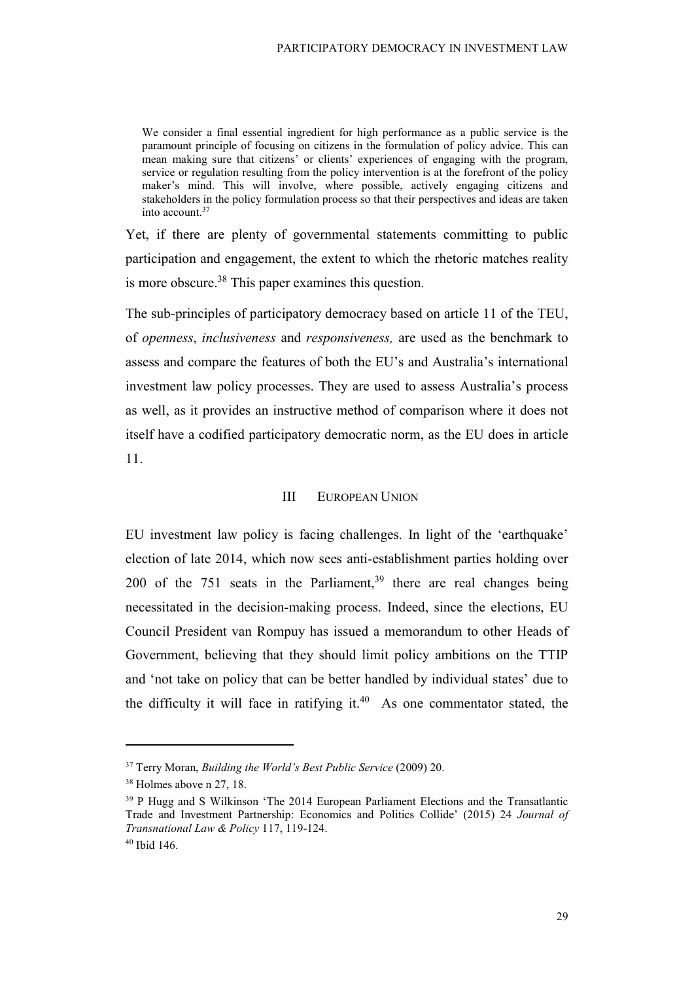We consider a final essential ingredient for high performance as a public service is the paramount principle of focusing on citizens in the formulation of policy advice. This can mean making sure that citizens' or clients' experiences of engaging with the program, service or regulation resulting from the policy intervention is at the forefront of the policy maker's mind. This will involve, where possible, actively engaging citizens and stakeholders in the policy formulation process so that their perspectives and ideas are taken into account.<sup>37</sup>

Yet, if there are plenty of governmental statements committing to public participation and engagement, the extent to which the rhetoric matches reality is more obscure.<sup>38</sup> This paper examines this question.

The sub-principles of participatory democracy based on article 11 of the TEU, of openness, inclusiveness and responsiveness, are used as the benchmark to assess and compare the features of both the EU's and Australia's international investment law policy processes. They are used to assess Australia's process as well, as it provides an instructive method of comparison where it does not itself have a codified participatory democratic norm, as the EU does in article 11.

#### III EUROPEAN UNION

EU investment law policy is facing challenges. In light of the 'earthquake' election of late 2014, which now sees anti-establishment parties holding over 200 of the 751 seats in the Parliament,<sup>39</sup> there are real changes being necessitated in the decision-making process. Indeed, since the elections, EU Council President van Rompuy has issued a memorandum to other Heads of Government, believing that they should limit policy ambitions on the TTIP and 'not take on policy that can be better handled by individual states' due to the difficulty it will face in ratifying it. $40$  As one commentator stated, the

 $37$  Terry Moran, Building the World's Best Public Service (2009) 20.

<sup>38</sup> Holmes above n 27, 18.

<sup>39</sup> P Hugg and S Wilkinson 'The 2014 European Parliament Elections and the Transatlantic Trade and Investment Partnership: Economics and Politics Collide' (2015) 24 Journal of Transnational Law & Policy 117, 119-124.

<sup>40</sup> Ibid 146.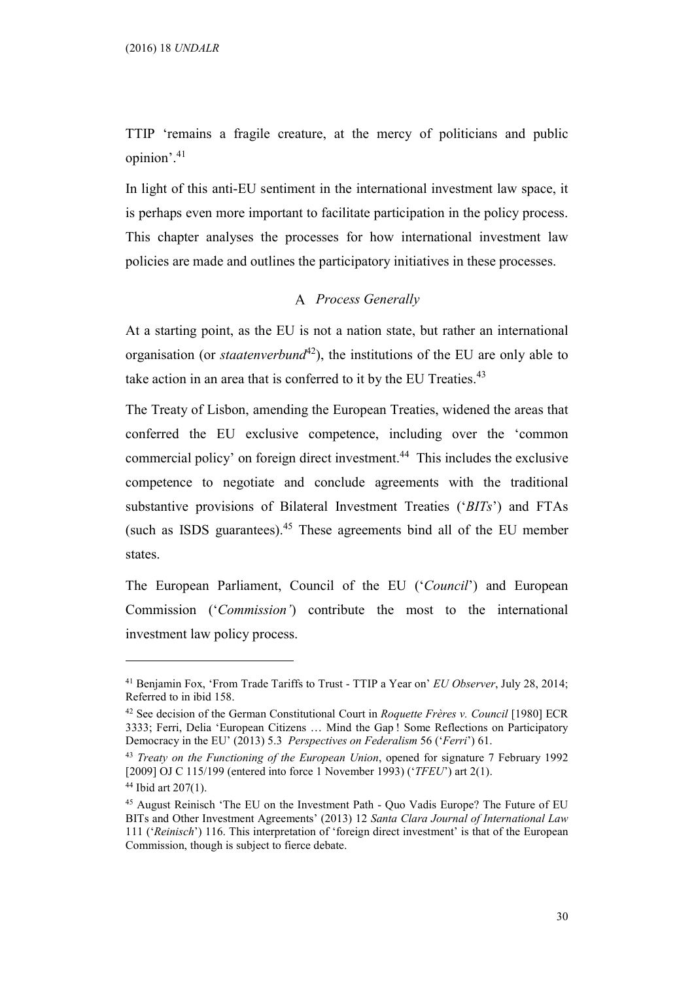TTIP 'remains a fragile creature, at the mercy of politicians and public opinion'.<sup>41</sup>

In light of this anti-EU sentiment in the international investment law space, it is perhaps even more important to facilitate participation in the policy process. This chapter analyses the processes for how international investment law policies are made and outlines the participatory initiatives in these processes.

## A Process Generally

At a starting point, as the EU is not a nation state, but rather an international organisation (or *staatenverbund*<sup>42</sup>), the institutions of the EU are only able to take action in an area that is conferred to it by the EU Treaties. $43$ 

The Treaty of Lisbon, amending the European Treaties, widened the areas that conferred the EU exclusive competence, including over the 'common commercial policy' on foreign direct investment.<sup>44</sup> This includes the exclusive competence to negotiate and conclude agreements with the traditional substantive provisions of Bilateral Investment Treaties ('BITs') and FTAs (such as ISDS guarantees). $45$  These agreements bind all of the EU member states.

The European Parliament, Council of the EU ('Council') and European Commission ('Commission') contribute the most to the international investment law policy process.

<sup>&</sup>lt;sup>41</sup> Benjamin Fox, 'From Trade Tariffs to Trust - TTIP a Year on' *EU Observer*, July 28, 2014; Referred to in ibid 158.

 $42$  See decision of the German Constitutional Court in Roquette Frères v. Council [1980] ECR 3333; Ferri, Delia 'European Citizens … Mind the Gap ! Some Reflections on Participatory Democracy in the EU' (2013) 5.3 Perspectives on Federalism 56 ('Ferri') 61.

 $43$  Treaty on the Functioning of the European Union, opened for signature 7 February 1992 [2009] OJ C 115/199 (entered into force 1 November 1993) ('*TFEU*') art 2(1).

<sup>44</sup> Ibid art 207(1).

<sup>45</sup> August Reinisch 'The EU on the Investment Path - Quo Vadis Europe? The Future of EU BITs and Other Investment Agreements' (2013) 12 Santa Clara Journal of International Law 111 ('Reinisch') 116. This interpretation of 'foreign direct investment' is that of the European Commission, though is subject to fierce debate.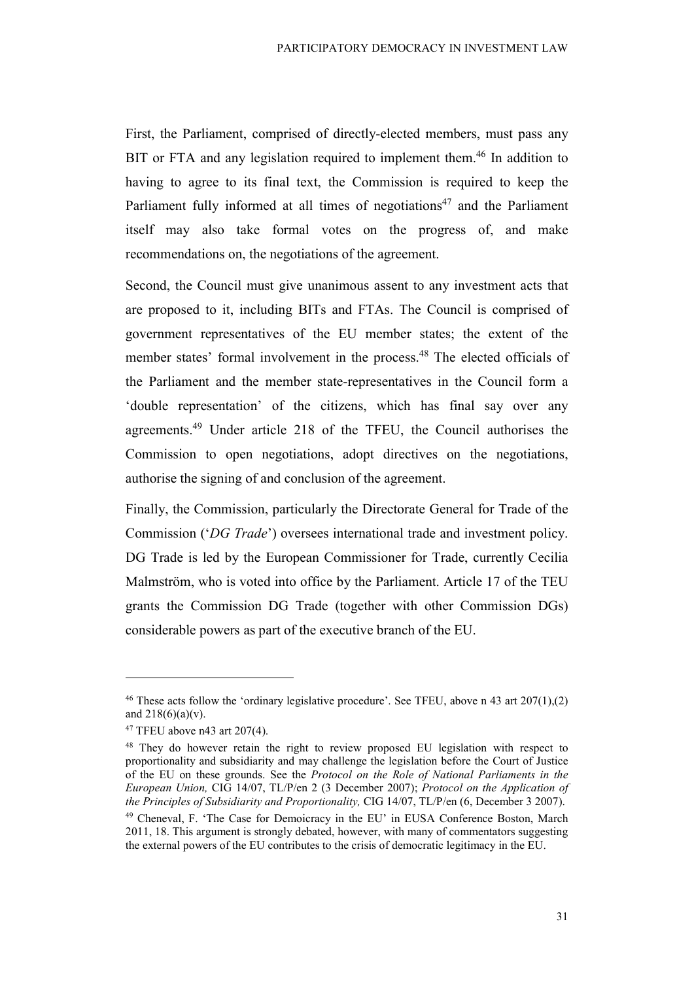First, the Parliament, comprised of directly-elected members, must pass any BIT or FTA and any legislation required to implement them.<sup>46</sup> In addition to having to agree to its final text, the Commission is required to keep the Parliament fully informed at all times of negotiations<sup>47</sup> and the Parliament itself may also take formal votes on the progress of, and make recommendations on, the negotiations of the agreement.

Second, the Council must give unanimous assent to any investment acts that are proposed to it, including BITs and FTAs. The Council is comprised of government representatives of the EU member states; the extent of the member states' formal involvement in the process.<sup>48</sup> The elected officials of the Parliament and the member state-representatives in the Council form a 'double representation' of the citizens, which has final say over any agreements.<sup>49</sup> Under article 218 of the TFEU, the Council authorises the Commission to open negotiations, adopt directives on the negotiations, authorise the signing of and conclusion of the agreement.

Finally, the Commission, particularly the Directorate General for Trade of the Commission ('DG Trade') oversees international trade and investment policy. DG Trade is led by the European Commissioner for Trade, currently Cecilia Malmström, who is voted into office by the Parliament. Article 17 of the TEU grants the Commission DG Trade (together with other Commission DGs) considerable powers as part of the executive branch of the EU.

 $\overline{a}$ 

31

<sup>&</sup>lt;sup>46</sup> These acts follow the 'ordinary legislative procedure'. See TFEU, above n 43 art  $207(1)$ , (2) and  $218(6)(a)(v)$ .

<sup>47</sup> TFEU above n43 art 207(4).

<sup>48</sup> They do however retain the right to review proposed EU legislation with respect to proportionality and subsidiarity and may challenge the legislation before the Court of Justice of the EU on these grounds. See the Protocol on the Role of National Parliaments in the European Union, CIG 14/07, TL/P/en 2 (3 December 2007); Protocol on the Application of the Principles of Subsidiarity and Proportionality, CIG 14/07, TL/P/en (6, December 3 2007). <sup>49</sup> Cheneval, F. 'The Case for Demoicracy in the EU' in EUSA Conference Boston, March 2011, 18. This argument is strongly debated, however, with many of commentators suggesting the external powers of the EU contributes to the crisis of democratic legitimacy in the EU.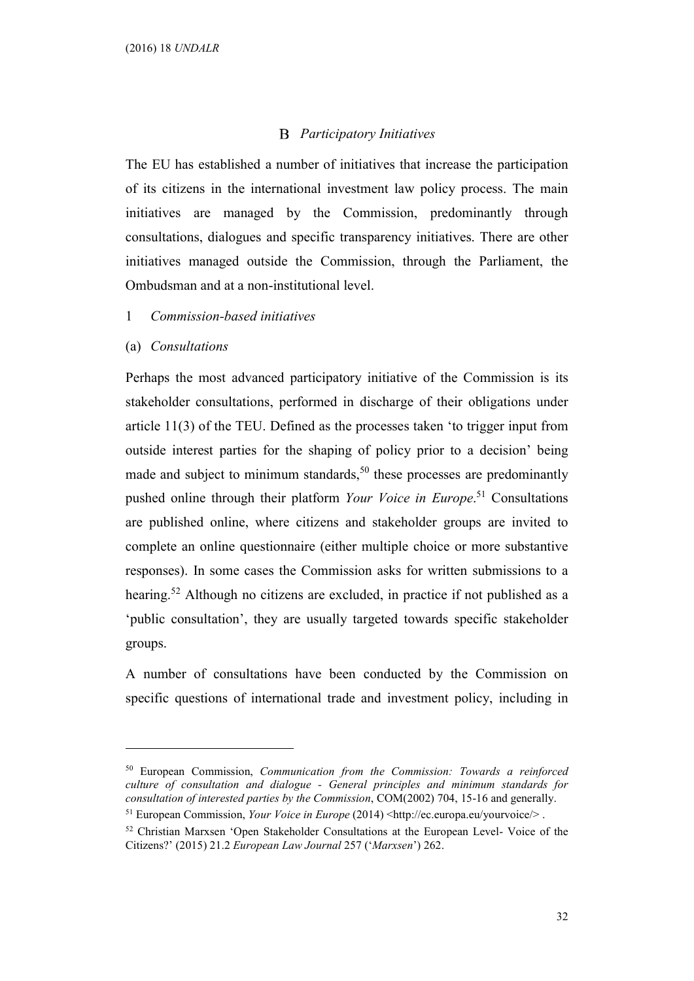## **B** Participatory Initiatives

The EU has established a number of initiatives that increase the participation of its citizens in the international investment law policy process. The main initiatives are managed by the Commission, predominantly through consultations, dialogues and specific transparency initiatives. There are other initiatives managed outside the Commission, through the Parliament, the Ombudsman and at a non-institutional level.

- 1 Commission-based initiatives
- (a) Consultations

 $\overline{a}$ 

Perhaps the most advanced participatory initiative of the Commission is its stakeholder consultations, performed in discharge of their obligations under article 11(3) of the TEU. Defined as the processes taken 'to trigger input from outside interest parties for the shaping of policy prior to a decision' being made and subject to minimum standards,<sup>50</sup> these processes are predominantly pushed online through their platform Your Voice in Europe.<sup>51</sup> Consultations are published online, where citizens and stakeholder groups are invited to complete an online questionnaire (either multiple choice or more substantive responses). In some cases the Commission asks for written submissions to a hearing.<sup>52</sup> Although no citizens are excluded, in practice if not published as a 'public consultation', they are usually targeted towards specific stakeholder groups.

A number of consultations have been conducted by the Commission on specific questions of international trade and investment policy, including in

<sup>51</sup> European Commission, Your Voice in Europe (2014) <http://ec.europa.eu/yourvoice/>.

<sup>50</sup> European Commission, Communication from the Commission: Towards a reinforced culture of consultation and dialogue - General principles and minimum standards for consultation of interested parties by the Commission, COM(2002) 704, 15-16 and generally.

<sup>52</sup> Christian Marxsen 'Open Stakeholder Consultations at the European Level- Voice of the Citizens?' (2015) 21.2 European Law Journal 257 ('Marxsen') 262.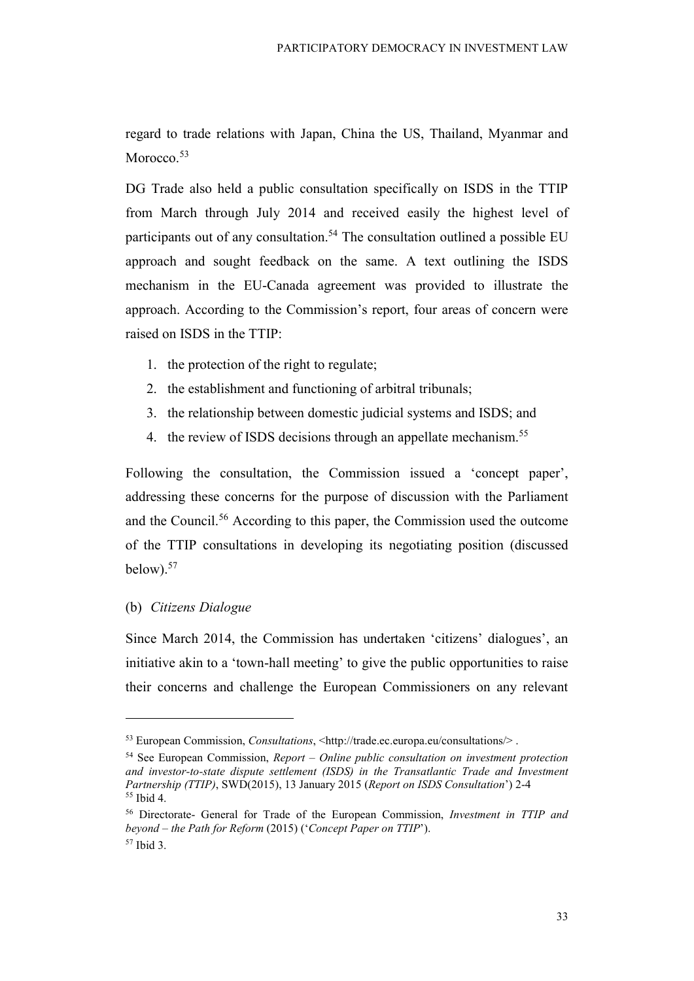regard to trade relations with Japan, China the US, Thailand, Myanmar and Morocco.<sup>53</sup>

DG Trade also held a public consultation specifically on ISDS in the TTIP from March through July 2014 and received easily the highest level of participants out of any consultation.<sup>54</sup> The consultation outlined a possible EU approach and sought feedback on the same. A text outlining the ISDS mechanism in the EU-Canada agreement was provided to illustrate the approach. According to the Commission's report, four areas of concern were raised on ISDS in the TTIP:

- 1. the protection of the right to regulate;
- 2. the establishment and functioning of arbitral tribunals;
- 3. the relationship between domestic judicial systems and ISDS; and
- 4. the review of ISDS decisions through an appellate mechanism.<sup>55</sup>

Following the consultation, the Commission issued a 'concept paper', addressing these concerns for the purpose of discussion with the Parliament and the Council.<sup>56</sup> According to this paper, the Commission used the outcome of the TTIP consultations in developing its negotiating position (discussed below). $57$ 

## (b) Citizens Dialogue

 $\overline{a}$ 

Since March 2014, the Commission has undertaken 'citizens' dialogues', an initiative akin to a 'town-hall meeting' to give the public opportunities to raise their concerns and challenge the European Commissioners on any relevant

<sup>53</sup> European Commission, Consultations, <http://trade.ec.europa.eu/consultations/> .

 $54$  See European Commission, *Report – Online public consultation on investment protection* and investor-to-state dispute settlement (ISDS) in the Transatlantic Trade and Investment Partnership (TTIP), SWD(2015), 13 January 2015 (Report on ISDS Consultation') 2-4 <sup>55</sup> Ibid 4.

<sup>56</sup> Directorate- General for Trade of the European Commission, Investment in TTIP and beyond – the Path for Reform (2015) ('Concept Paper on TTIP'). 57 Ibid 3.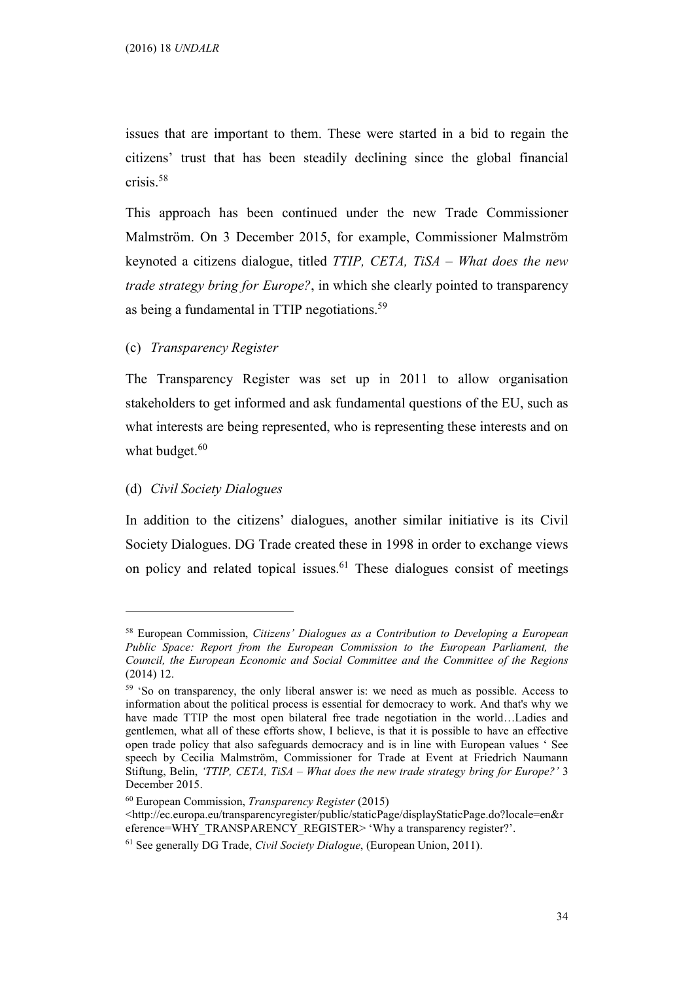issues that are important to them. These were started in a bid to regain the citizens' trust that has been steadily declining since the global financial crisis.<sup>58</sup>

This approach has been continued under the new Trade Commissioner Malmström. On 3 December 2015, for example, Commissioner Malmström keynoted a citizens dialogue, titled TTIP, CETA, TiSA – What does the new trade strategy bring for Europe?, in which she clearly pointed to transparency as being a fundamental in TTIP negotiations.<sup>59</sup>

### (c) Transparency Register

The Transparency Register was set up in 2011 to allow organisation stakeholders to get informed and ask fundamental questions of the EU, such as what interests are being represented, who is representing these interests and on what budget. $60$ 

#### (d) Civil Society Dialogues

 $\overline{a}$ 

In addition to the citizens' dialogues, another similar initiative is its Civil Society Dialogues. DG Trade created these in 1998 in order to exchange views on policy and related topical issues.<sup>61</sup> These dialogues consist of meetings

<sup>&</sup>lt;sup>58</sup> European Commission, Citizens' Dialogues as a Contribution to Developing a European Public Space: Report from the European Commission to the European Parliament, the Council, the European Economic and Social Committee and the Committee of the Regions (2014) 12.

<sup>59</sup> 'So on transparency, the only liberal answer is: we need as much as possible. Access to information about the political process is essential for democracy to work. And that's why we have made TTIP the most open bilateral free trade negotiation in the world…Ladies and gentlemen, what all of these efforts show, I believe, is that it is possible to have an effective open trade policy that also safeguards democracy and is in line with European values ' See speech by Cecilia Malmström, Commissioner for Trade at Event at Friedrich Naumann Stiftung, Belin, 'TTIP, CETA, TiSA – What does the new trade strategy bring for Europe?' 3 December 2015.

 $60$  European Commission, *Transparency Register* (2015)

<sup>&</sup>lt;http://ec.europa.eu/transparencyregister/public/staticPage/displayStaticPage.do?locale=en&r eference=WHY\_TRANSPARENCY\_REGISTER> 'Why a transparency register?'.

<sup>&</sup>lt;sup>61</sup> See generally DG Trade, *Civil Society Dialogue*, (European Union, 2011).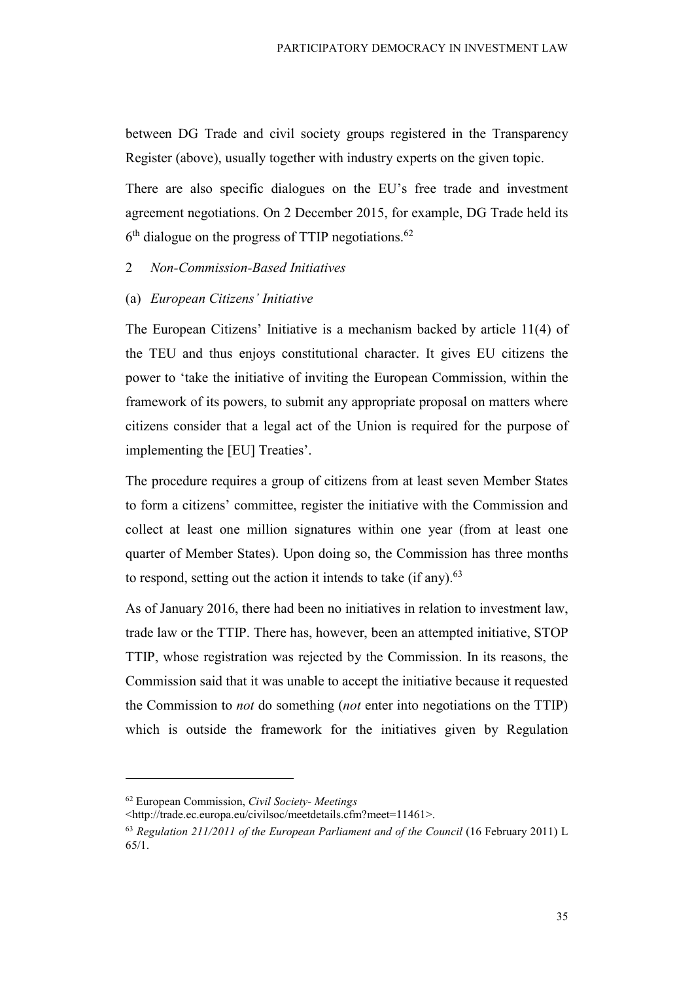between DG Trade and civil society groups registered in the Transparency Register (above), usually together with industry experts on the given topic.

There are also specific dialogues on the EU's free trade and investment agreement negotiations. On 2 December 2015, for example, DG Trade held its  $6<sup>th</sup>$  dialogue on the progress of TTIP negotiations.<sup>62</sup>

## 2 Non-Commission-Based Initiatives

#### (a) European Citizens' Initiative

The European Citizens' Initiative is a mechanism backed by article 11(4) of the TEU and thus enjoys constitutional character. It gives EU citizens the power to 'take the initiative of inviting the European Commission, within the framework of its powers, to submit any appropriate proposal on matters where citizens consider that a legal act of the Union is required for the purpose of implementing the [EU] Treaties'.

The procedure requires a group of citizens from at least seven Member States to form a citizens' committee, register the initiative with the Commission and collect at least one million signatures within one year (from at least one quarter of Member States). Upon doing so, the Commission has three months to respond, setting out the action it intends to take (if any). $63$ 

As of January 2016, there had been no initiatives in relation to investment law, trade law or the TTIP. There has, however, been an attempted initiative, STOP TTIP, whose registration was rejected by the Commission. In its reasons, the Commission said that it was unable to accept the initiative because it requested the Commission to not do something (not enter into negotiations on the TTIP) which is outside the framework for the initiatives given by Regulation

<sup>62</sup> European Commission, Civil Society- Meetings

<sup>&</sup>lt;http://trade.ec.europa.eu/civilsoc/meetdetails.cfm?meet=11461>.

<sup>63</sup> Regulation 211/2011 of the European Parliament and of the Council (16 February 2011) L 65/1.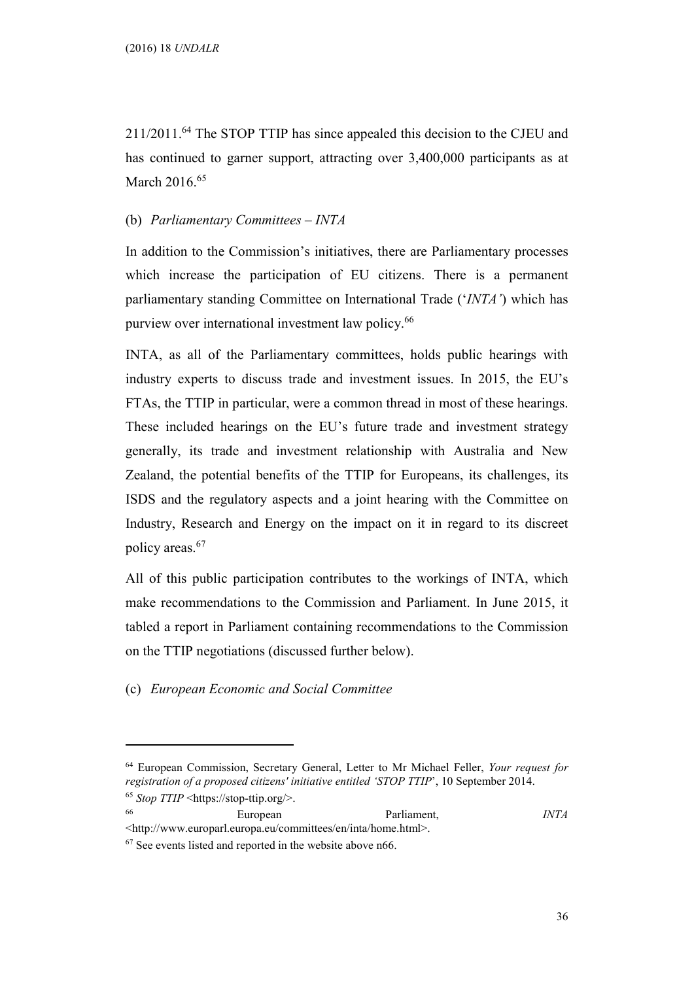211/2011.<sup>64</sup> The STOP TTIP has since appealed this decision to the CJEU and has continued to garner support, attracting over 3,400,000 participants as at March 2016.<sup>65</sup>

## (b) Parliamentary Committees – INTA

In addition to the Commission's initiatives, there are Parliamentary processes which increase the participation of EU citizens. There is a permanent parliamentary standing Committee on International Trade ('INTA') which has purview over international investment law policy.<sup>66</sup>

INTA, as all of the Parliamentary committees, holds public hearings with industry experts to discuss trade and investment issues. In 2015, the EU's FTAs, the TTIP in particular, were a common thread in most of these hearings. These included hearings on the EU's future trade and investment strategy generally, its trade and investment relationship with Australia and New Zealand, the potential benefits of the TTIP for Europeans, its challenges, its ISDS and the regulatory aspects and a joint hearing with the Committee on Industry, Research and Energy on the impact on it in regard to its discreet policy areas.<sup>67</sup>

All of this public participation contributes to the workings of INTA, which make recommendations to the Commission and Parliament. In June 2015, it tabled a report in Parliament containing recommendations to the Commission on the TTIP negotiations (discussed further below).

(c) European Economic and Social Committee

 $\overline{a}$ 

<sup>66</sup> European Parliament, INTA <http://www.europarl.europa.eu/committees/en/inta/home.html>.

<sup>64</sup> European Commission, Secretary General, Letter to Mr Michael Feller, Your request for registration of a proposed citizens' initiative entitled 'STOP TTIP', 10 September 2014.  $65$  Stop TTIP <https://stop-ttip.org/>.

<sup>67</sup> See events listed and reported in the website above n66.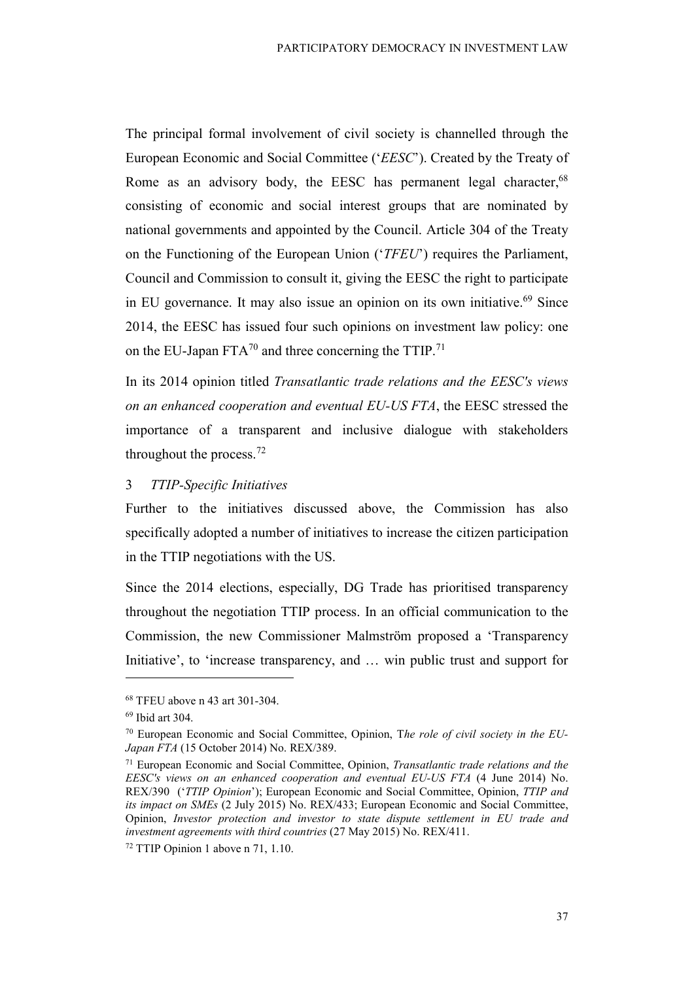The principal formal involvement of civil society is channelled through the European Economic and Social Committee ('EESC'). Created by the Treaty of Rome as an advisory body, the EESC has permanent legal character,<sup>68</sup> consisting of economic and social interest groups that are nominated by national governments and appointed by the Council. Article 304 of the Treaty on the Functioning of the European Union ('TFEU') requires the Parliament, Council and Commission to consult it, giving the EESC the right to participate in EU governance. It may also issue an opinion on its own initiative.<sup>69</sup> Since 2014, the EESC has issued four such opinions on investment law policy: one on the EU-Japan FTA<sup>70</sup> and three concerning the TTIP.<sup>71</sup>

In its 2014 opinion titled Transatlantic trade relations and the EESC's views on an enhanced cooperation and eventual EU-US FTA, the EESC stressed the importance of a transparent and inclusive dialogue with stakeholders throughout the process.<sup>72</sup>

#### 3 TTIP-Specific Initiatives

Further to the initiatives discussed above, the Commission has also specifically adopted a number of initiatives to increase the citizen participation in the TTIP negotiations with the US.

Since the 2014 elections, especially, DG Trade has prioritised transparency throughout the negotiation TTIP process. In an official communication to the Commission, the new Commissioner Malmström proposed a 'Transparency Initiative', to 'increase transparency, and … win public trust and support for

<sup>68</sup> TFEU above n 43 art 301-304.

<sup>69</sup> Ibid art 304.

 $70$  European Economic and Social Committee, Opinion, The role of civil society in the EU-Japan FTA (15 October 2014) No. REX/389.

 $71$  European Economic and Social Committee, Opinion, Transatlantic trade relations and the EESC's views on an enhanced cooperation and eventual EU-US FTA (4 June 2014) No. REX/390 ('TTIP Opinion'); European Economic and Social Committee, Opinion, TTIP and its impact on SMEs (2 July 2015) No. REX/433; European Economic and Social Committee, Opinion, Investor protection and investor to state dispute settlement in EU trade and investment agreements with third countries (27 May 2015) No. REX/411.

<sup>72</sup> TTIP Opinion 1 above n 71, 1.10.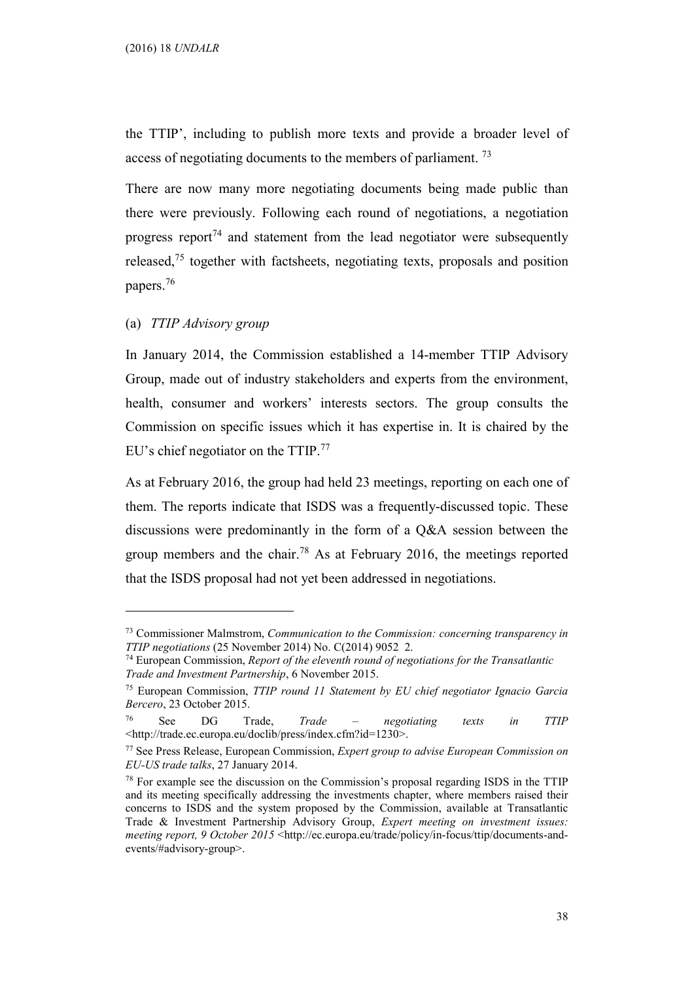the TTIP', including to publish more texts and provide a broader level of access of negotiating documents to the members of parliament.<sup>73</sup>

There are now many more negotiating documents being made public than there were previously. Following each round of negotiations, a negotiation progress report<sup>74</sup> and statement from the lead negotiator were subsequently released, $75$  together with factsheets, negotiating texts, proposals and position papers.<sup>76</sup>

#### (a) TTIP Advisory group

 $\overline{a}$ 

In January 2014, the Commission established a 14-member TTIP Advisory Group, made out of industry stakeholders and experts from the environment, health, consumer and workers' interests sectors. The group consults the Commission on specific issues which it has expertise in. It is chaired by the EU's chief negotiator on the TTIP. $^{77}$ 

As at February 2016, the group had held 23 meetings, reporting on each one of them. The reports indicate that ISDS was a frequently-discussed topic. These discussions were predominantly in the form of a Q&A session between the group members and the chair.<sup>78</sup> As at February 2016, the meetings reported that the ISDS proposal had not yet been addressed in negotiations.

 $73$  Commissioner Malmstrom, *Communication to the Commission: concerning transparency in* TTIP negotiations (25 November 2014) No. C(2014) 9052 2.

 $74$  European Commission, *Report of the eleventh round of negotiations for the Transatlantic* Trade and Investment Partnership, 6 November 2015.

<sup>75</sup> European Commission, TTIP round 11 Statement by EU chief negotiator Ignacio Garcia Bercero, 23 October 2015.

<sup>76</sup> See DG Trade, Trade – negotiating texts in TTIP <http://trade.ec.europa.eu/doclib/press/index.cfm?id=1230>.

 $77$  See Press Release, European Commission, *Expert group to advise European Commission on* EU-US trade talks, 27 January 2014.

<sup>78</sup> For example see the discussion on the Commission's proposal regarding ISDS in the TTIP and its meeting specifically addressing the investments chapter, where members raised their concerns to ISDS and the system proposed by the Commission, available at Transatlantic Trade & Investment Partnership Advisory Group, Expert meeting on investment issues: meeting report, 9 October 2015 <http://ec.europa.eu/trade/policy/in-focus/ttip/documents-andevents/#advisory-group>.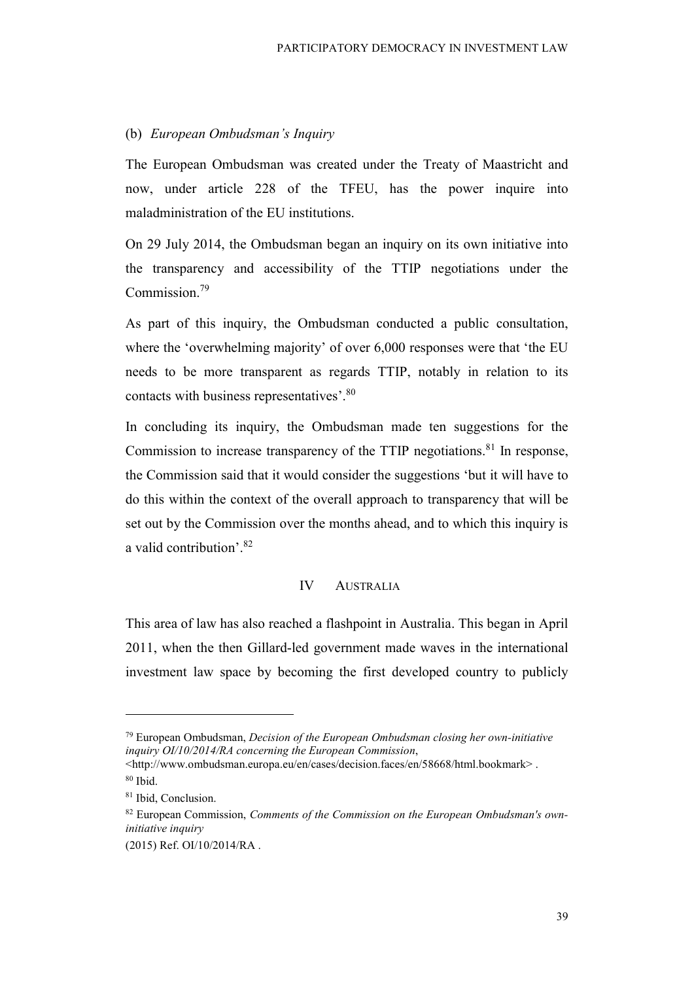#### (b) European Ombudsman's Inquiry

The European Ombudsman was created under the Treaty of Maastricht and now, under article 228 of the TFEU, has the power inquire into maladministration of the EU institutions.

On 29 July 2014, the Ombudsman began an inquiry on its own initiative into the transparency and accessibility of the TTIP negotiations under the Commission.<sup>79</sup>

As part of this inquiry, the Ombudsman conducted a public consultation, where the 'overwhelming majority' of over 6,000 responses were that 'the EU needs to be more transparent as regards TTIP, notably in relation to its contacts with business representatives'.<sup>80</sup>

In concluding its inquiry, the Ombudsman made ten suggestions for the Commission to increase transparency of the TTIP negotiations. $81$  In response, the Commission said that it would consider the suggestions 'but it will have to do this within the context of the overall approach to transparency that will be set out by the Commission over the months ahead, and to which this inquiry is a valid contribution'.<sup>82</sup>

#### IV AUSTRALIA

This area of law has also reached a flashpoint in Australia. This began in April 2011, when the then Gillard-led government made waves in the international investment law space by becoming the first developed country to publicly

 $79$  European Ombudsman, Decision of the European Ombudsman closing her own-initiative inquiry OI/10/2014/RA concerning the European Commission,

<sup>&</sup>lt;http://www.ombudsman.europa.eu/en/cases/decision.faces/en/58668/html.bookmark> .

<sup>80</sup> Ibid.

<sup>81</sup> Ibid, Conclusion.

 $82$  European Commission, *Comments of the Commission on the European Ombudsman's own*initiative inquiry

<sup>(2015)</sup> Ref. OI/10/2014/RA .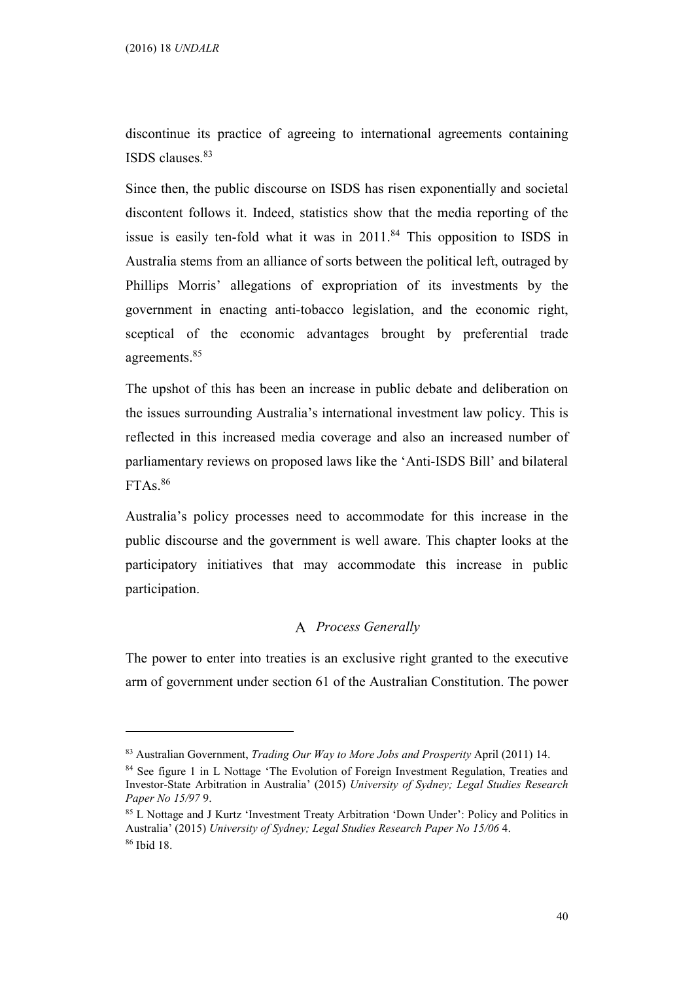$\overline{a}$ 

discontinue its practice of agreeing to international agreements containing ISDS clauses.<sup>83</sup>

Since then, the public discourse on ISDS has risen exponentially and societal discontent follows it. Indeed, statistics show that the media reporting of the issue is easily ten-fold what it was in  $2011<sup>84</sup>$  This opposition to ISDS in Australia stems from an alliance of sorts between the political left, outraged by Phillips Morris' allegations of expropriation of its investments by the government in enacting anti-tobacco legislation, and the economic right, sceptical of the economic advantages brought by preferential trade agreements.<sup>85</sup>

The upshot of this has been an increase in public debate and deliberation on the issues surrounding Australia's international investment law policy. This is reflected in this increased media coverage and also an increased number of parliamentary reviews on proposed laws like the 'Anti-ISDS Bill' and bilateral FTAs.<sup>86</sup>

Australia's policy processes need to accommodate for this increase in the public discourse and the government is well aware. This chapter looks at the participatory initiatives that may accommodate this increase in public participation.

## A Process Generally

The power to enter into treaties is an exclusive right granted to the executive arm of government under section 61 of the Australian Constitution. The power

 $83$  Australian Government, *Trading Our Way to More Jobs and Prosperity* April (2011) 14.

<sup>&</sup>lt;sup>84</sup> See figure 1 in L Nottage 'The Evolution of Foreign Investment Regulation, Treaties and Investor-State Arbitration in Australia' (2015) University of Sydney; Legal Studies Research Paper No 15/97 9.

<sup>85</sup> L Nottage and J Kurtz 'Investment Treaty Arbitration 'Down Under': Policy and Politics in Australia' (2015) University of Sydney; Legal Studies Research Paper No 15/06 4. 86 Ibid 18.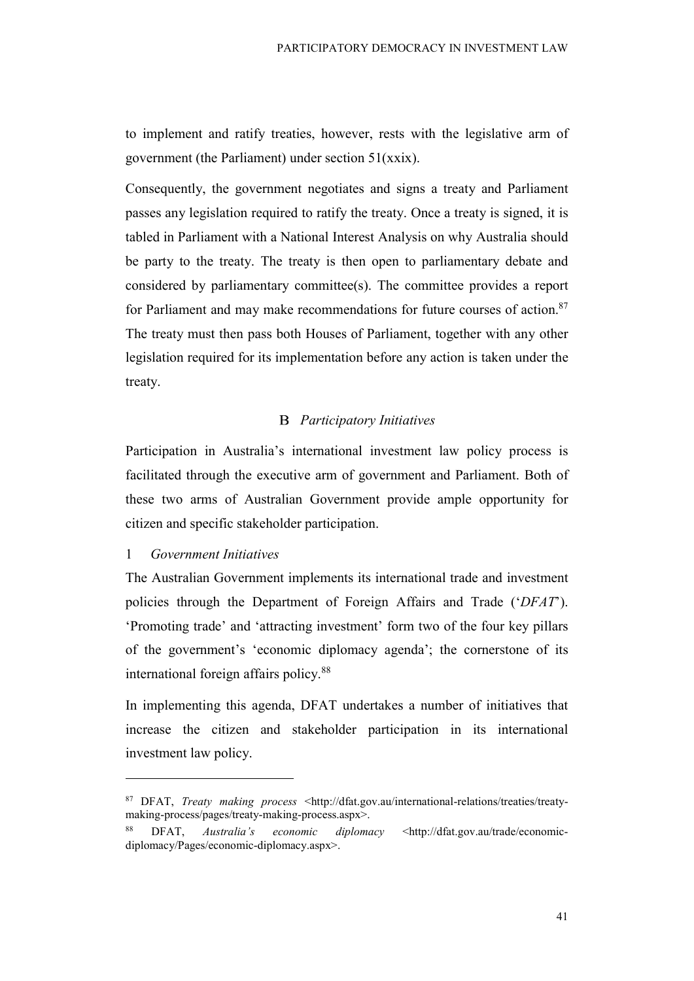to implement and ratify treaties, however, rests with the legislative arm of government (the Parliament) under section 51(xxix).

Consequently, the government negotiates and signs a treaty and Parliament passes any legislation required to ratify the treaty. Once a treaty is signed, it is tabled in Parliament with a National Interest Analysis on why Australia should be party to the treaty. The treaty is then open to parliamentary debate and considered by parliamentary committee(s). The committee provides a report for Parliament and may make recommendations for future courses of action.<sup>87</sup> The treaty must then pass both Houses of Parliament, together with any other legislation required for its implementation before any action is taken under the treaty.

### **B** Participatory Initiatives

Participation in Australia's international investment law policy process is facilitated through the executive arm of government and Parliament. Both of these two arms of Australian Government provide ample opportunity for citizen and specific stakeholder participation.

## 1 Government Initiatives

 $\overline{a}$ 

The Australian Government implements its international trade and investment policies through the Department of Foreign Affairs and Trade ('DFAT'). 'Promoting trade' and 'attracting investment' form two of the four key pillars of the government's 'economic diplomacy agenda'; the cornerstone of its international foreign affairs policy.<sup>88</sup>

In implementing this agenda, DFAT undertakes a number of initiatives that increase the citizen and stakeholder participation in its international investment law policy.

<sup>87</sup> DFAT, Treaty making process <http://dfat.gov.au/international-relations/treaties/treatymaking-process/pages/treaty-making-process.aspx>.

DFAT, Australia's economic diplomacy <http://dfat.gov.au/trade/economicdiplomacy/Pages/economic-diplomacy.aspx>.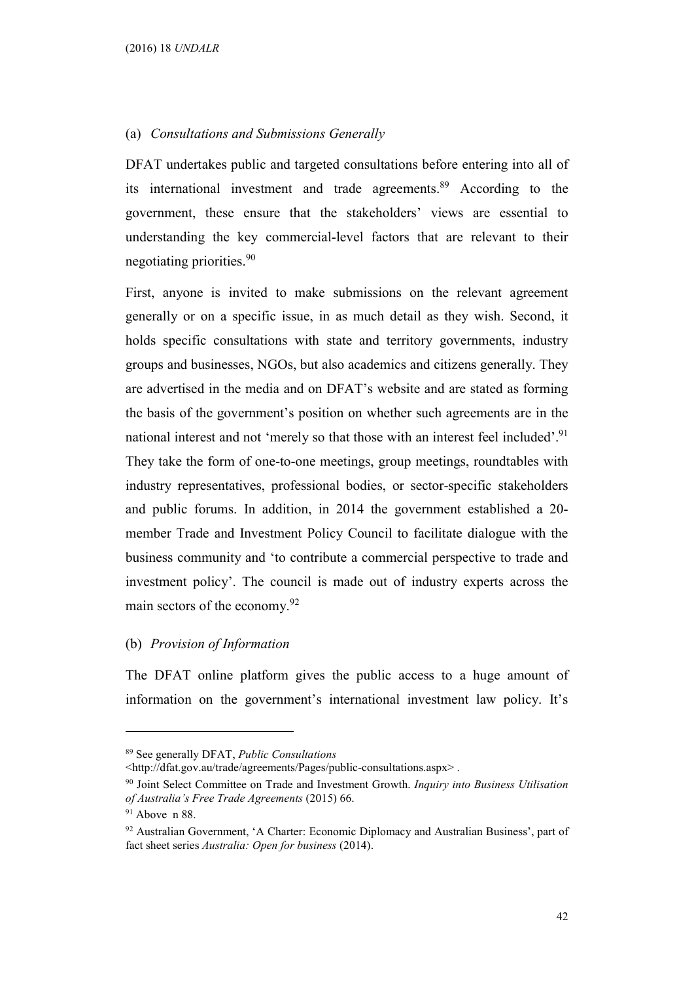#### (a) Consultations and Submissions Generally

DFAT undertakes public and targeted consultations before entering into all of its international investment and trade agreements.<sup>89</sup> According to the government, these ensure that the stakeholders' views are essential to understanding the key commercial-level factors that are relevant to their negotiating priorities.<sup>90</sup>

First, anyone is invited to make submissions on the relevant agreement generally or on a specific issue, in as much detail as they wish. Second, it holds specific consultations with state and territory governments, industry groups and businesses, NGOs, but also academics and citizens generally. They are advertised in the media and on DFAT's website and are stated as forming the basis of the government's position on whether such agreements are in the national interest and not 'merely so that those with an interest feel included'.<sup>91</sup> They take the form of one-to-one meetings, group meetings, roundtables with industry representatives, professional bodies, or sector-specific stakeholders and public forums. In addition, in 2014 the government established a 20 member Trade and Investment Policy Council to facilitate dialogue with the business community and 'to contribute a commercial perspective to trade and investment policy'. The council is made out of industry experts across the main sectors of the economy.<sup>92</sup>

#### (b) Provision of Information

The DFAT online platform gives the public access to a huge amount of information on the government's international investment law policy. It's

<sup>89</sup> See generally DFAT, Public Consultations

<sup>&</sup>lt;http://dfat.gov.au/trade/agreements/Pages/public-consultations.aspx> .

<sup>&</sup>lt;sup>90</sup> Joint Select Committee on Trade and Investment Growth. Inquiry into Business Utilisation of Australia's Free Trade Agreements (2015) 66.

 $91$  Above n 88.

<sup>92</sup> Australian Government, 'A Charter: Economic Diplomacy and Australian Business', part of fact sheet series Australia: Open for business (2014).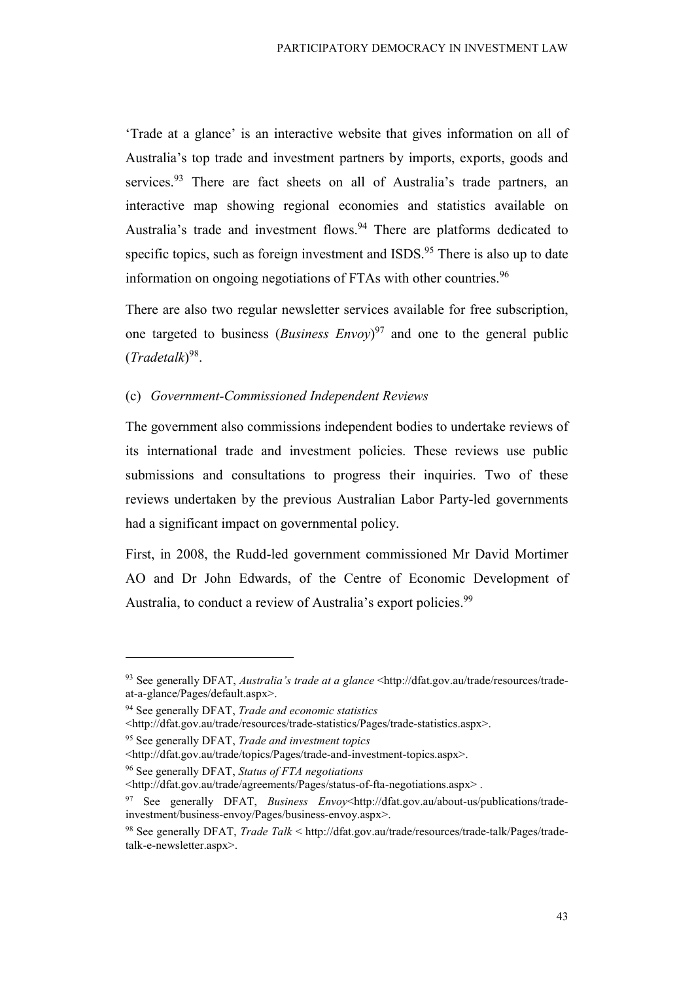'Trade at a glance' is an interactive website that gives information on all of Australia's top trade and investment partners by imports, exports, goods and services.<sup>93</sup> There are fact sheets on all of Australia's trade partners, an interactive map showing regional economies and statistics available on Australia's trade and investment flows.<sup>94</sup> There are platforms dedicated to specific topics, such as foreign investment and  $ISDS<sup>95</sup>$ . There is also up to date information on ongoing negotiations of FTAs with other countries.<sup>96</sup>

There are also two regular newsletter services available for free subscription, one targeted to business (*Business Envoy*)<sup>97</sup> and one to the general public  $(Tradetalk)^{98}$ .

#### (c) Government-Commissioned Independent Reviews

The government also commissions independent bodies to undertake reviews of its international trade and investment policies. These reviews use public submissions and consultations to progress their inquiries. Two of these reviews undertaken by the previous Australian Labor Party-led governments had a significant impact on governmental policy.

First, in 2008, the Rudd-led government commissioned Mr David Mortimer AO and Dr John Edwards, of the Centre of Economic Development of Australia, to conduct a review of Australia's export policies.<sup>99</sup>

 $93$  See generally DFAT, *Australia's trade at a glance* <http://dfat.gov.au/trade/resources/tradeat-a-glance/Pages/default.aspx>.

<sup>&</sup>lt;sup>94</sup> See generally DFAT, *Trade and economic statistics* 

<sup>&</sup>lt;http://dfat.gov.au/trade/resources/trade-statistics/Pages/trade-statistics.aspx>.

<sup>&</sup>lt;sup>95</sup> See generally DFAT, *Trade and investment topics* 

<sup>&</sup>lt;http://dfat.gov.au/trade/topics/Pages/trade-and-investment-topics.aspx>.

<sup>&</sup>lt;sup>96</sup> See generally DFAT, Status of FTA negotiations

<sup>&</sup>lt;http://dfat.gov.au/trade/agreements/Pages/status-of-fta-negotiations.aspx> .

<sup>97</sup> See generally DFAT, Business Envoy<http://dfat.gov.au/about-us/publications/tradeinvestment/business-envoy/Pages/business-envoy.aspx>.

<sup>98</sup> See generally DFAT, Trade Talk < http://dfat.gov.au/trade/resources/trade-talk/Pages/tradetalk-e-newsletter.aspx>.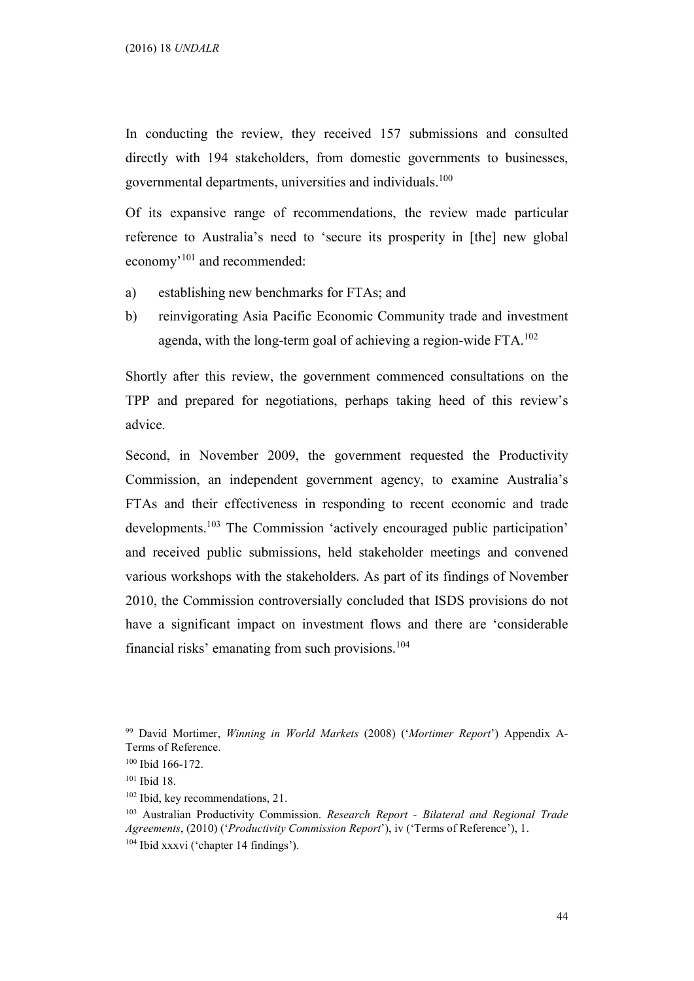In conducting the review, they received 157 submissions and consulted directly with 194 stakeholders, from domestic governments to businesses, governmental departments, universities and individuals.<sup>100</sup>

Of its expansive range of recommendations, the review made particular reference to Australia's need to 'secure its prosperity in [the] new global economy'<sup>101</sup> and recommended:

- a) establishing new benchmarks for FTAs; and
- b) reinvigorating Asia Pacific Economic Community trade and investment agenda, with the long-term goal of achieving a region-wide FTA. $^{102}$

Shortly after this review, the government commenced consultations on the TPP and prepared for negotiations, perhaps taking heed of this review's advice.

Second, in November 2009, the government requested the Productivity Commission, an independent government agency, to examine Australia's FTAs and their effectiveness in responding to recent economic and trade developments.<sup>103</sup> The Commission 'actively encouraged public participation' and received public submissions, held stakeholder meetings and convened various workshops with the stakeholders. As part of its findings of November 2010, the Commission controversially concluded that ISDS provisions do not have a significant impact on investment flows and there are 'considerable financial risks' emanating from such provisions. $104$ 

<sup>99</sup> David Mortimer, Winning in World Markets (2008) ('Mortimer Report') Appendix A-Terms of Reference.

<sup>100</sup> Ibid 166-172.

<sup>101</sup> Ibid 18.

<sup>&</sup>lt;sup>102</sup> Ibid, key recommendations, 21.

<sup>&</sup>lt;sup>103</sup> Australian Productivity Commission. Research Report - Bilateral and Regional Trade Agreements, (2010) ('Productivity Commission Report'), iv ('Terms of Reference'), 1. 104 Ibid xxxvi ('chapter 14 findings').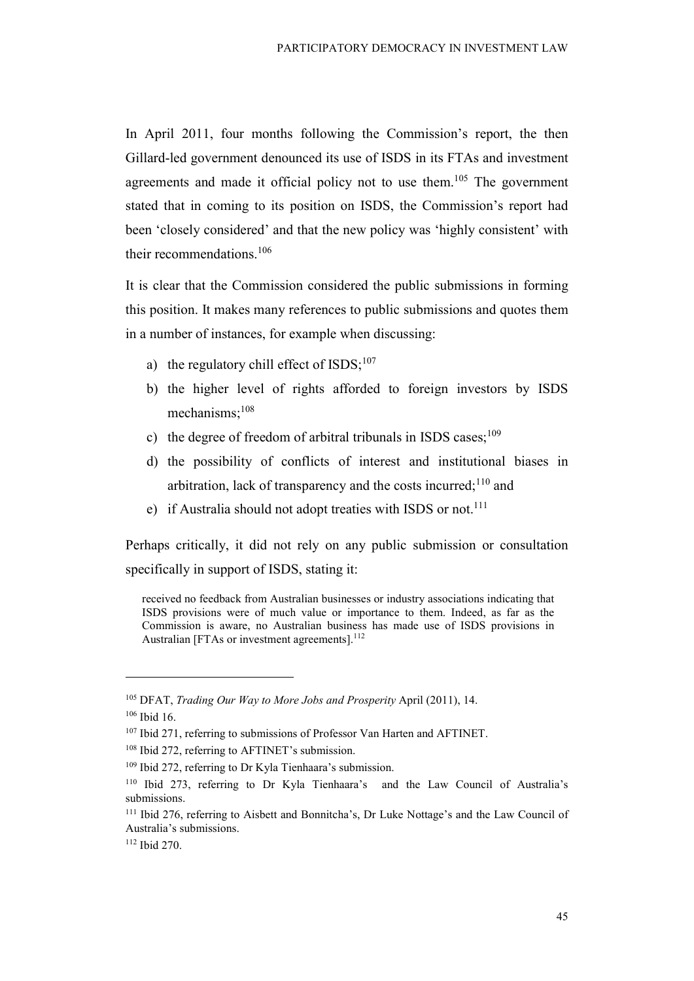In April 2011, four months following the Commission's report, the then Gillard-led government denounced its use of ISDS in its FTAs and investment agreements and made it official policy not to use them.<sup>105</sup> The government stated that in coming to its position on ISDS, the Commission's report had been 'closely considered' and that the new policy was 'highly consistent' with their recommendations.<sup>106</sup>

It is clear that the Commission considered the public submissions in forming this position. It makes many references to public submissions and quotes them in a number of instances, for example when discussing:

- a) the regulatory chill effect of  $ISDS$ ;<sup>107</sup>
- b) the higher level of rights afforded to foreign investors by ISDS mechanisms;<sup>108</sup>
- c) the degree of freedom of arbitral tribunals in ISDS cases; $^{109}$
- d) the possibility of conflicts of interest and institutional biases in arbitration, lack of transparency and the costs incurred;<sup>110</sup> and
- e) if Australia should not adopt treaties with ISDS or not.<sup>111</sup>

Perhaps critically, it did not rely on any public submission or consultation specifically in support of ISDS, stating it:

received no feedback from Australian businesses or industry associations indicating that ISDS provisions were of much value or importance to them. Indeed, as far as the Commission is aware, no Australian business has made use of ISDS provisions in Australian [FTAs or investment agreements].<sup>112</sup>

<sup>&</sup>lt;sup>105</sup> DFAT, *Trading Our Way to More Jobs and Prosperity April* (2011), 14.

<sup>106</sup> Ibid 16.

<sup>&</sup>lt;sup>107</sup> Ibid 271, referring to submissions of Professor Van Harten and AFTINET.

<sup>&</sup>lt;sup>108</sup> Ibid 272, referring to AFTINET's submission.

<sup>109</sup> Ibid 272, referring to Dr Kyla Tienhaara's submission.

<sup>110</sup> Ibid 273, referring to Dr Kyla Tienhaara's and the Law Council of Australia's submissions.

<sup>111</sup> Ibid 276, referring to Aisbett and Bonnitcha's, Dr Luke Nottage's and the Law Council of Australia's submissions.

<sup>112</sup> Ibid 270.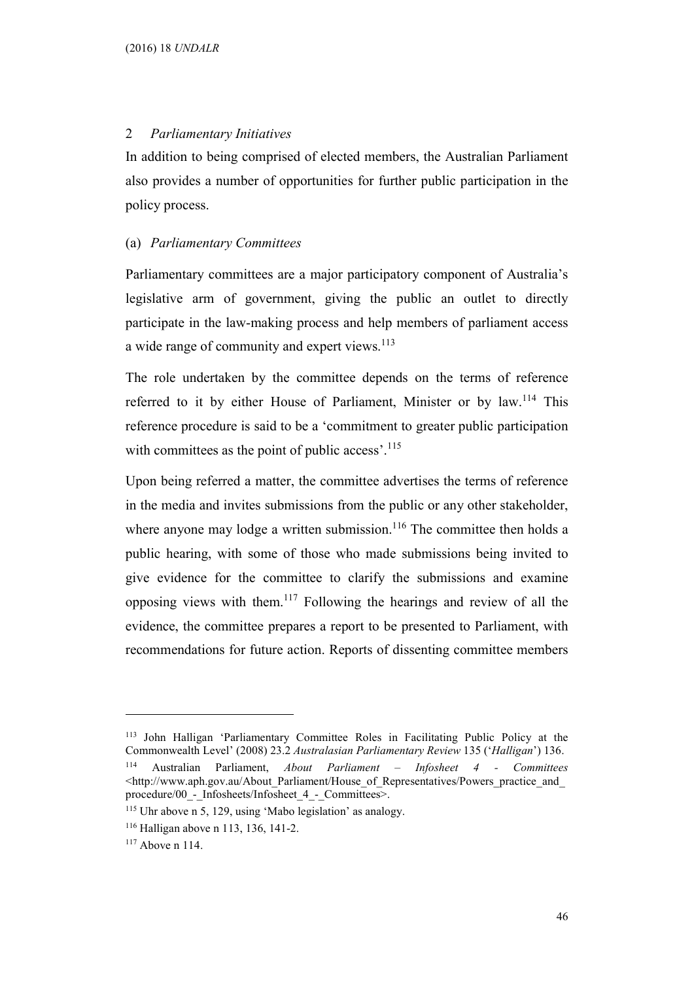#### 2 Parliamentary Initiatives

In addition to being comprised of elected members, the Australian Parliament also provides a number of opportunities for further public participation in the policy process.

#### (a) Parliamentary Committees

Parliamentary committees are a major participatory component of Australia's legislative arm of government, giving the public an outlet to directly participate in the law-making process and help members of parliament access a wide range of community and expert views.<sup>113</sup>

The role undertaken by the committee depends on the terms of reference referred to it by either House of Parliament, Minister or by law.<sup>114</sup> This reference procedure is said to be a 'commitment to greater public participation with committees as the point of public access'.<sup>115</sup>

Upon being referred a matter, the committee advertises the terms of reference in the media and invites submissions from the public or any other stakeholder, where anyone may lodge a written submission.<sup>116</sup> The committee then holds a public hearing, with some of those who made submissions being invited to give evidence for the committee to clarify the submissions and examine opposing views with them.<sup>117</sup> Following the hearings and review of all the evidence, the committee prepares a report to be presented to Parliament, with recommendations for future action. Reports of dissenting committee members

<sup>113</sup> John Halligan 'Parliamentary Committee Roles in Facilitating Public Policy at the Commonwealth Level' (2008) 23.2 Australasian Parliamentary Review 135 ('Halligan') 136. <sup>114</sup> Australian Parliament, About Parliament – Infosheet 4 - Committees <http://www.aph.gov.au/About\_Parliament/House\_of\_Representatives/Powers\_practice\_and\_ procedure/00 - Infosheets/Infosheet 4 - Committees>.

<sup>115</sup> Uhr above n 5, 129, using 'Mabo legislation' as analogy.

<sup>116</sup> Halligan above n 113, 136, 141-2.

<sup>117</sup> Above n 114.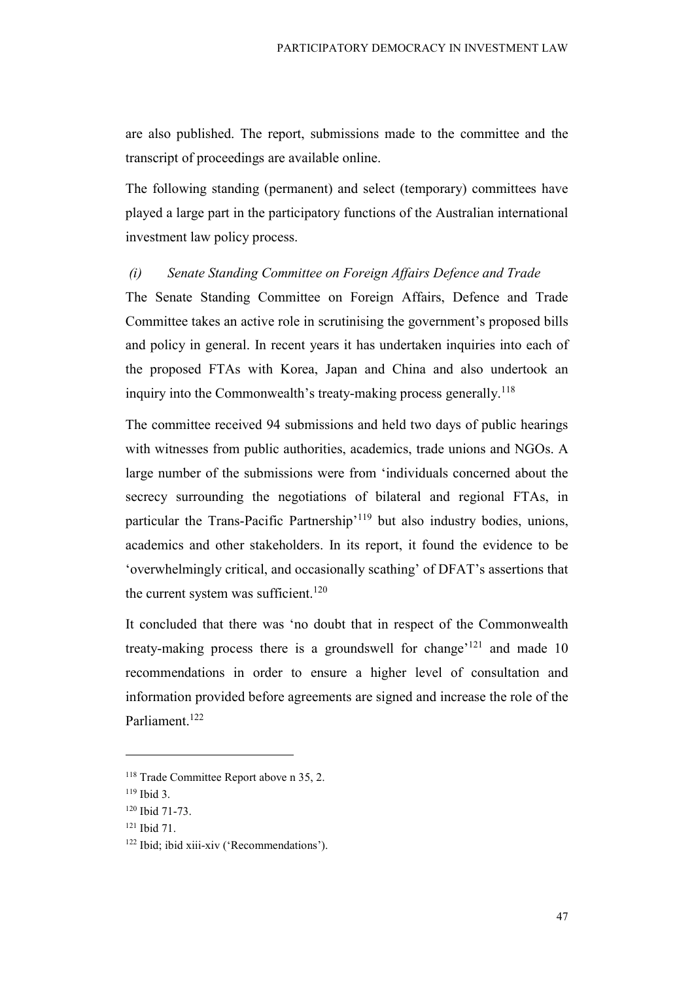are also published. The report, submissions made to the committee and the transcript of proceedings are available online.

The following standing (permanent) and select (temporary) committees have played a large part in the participatory functions of the Australian international investment law policy process.

#### (i) Senate Standing Committee on Foreign Affairs Defence and Trade

The Senate Standing Committee on Foreign Affairs, Defence and Trade Committee takes an active role in scrutinising the government's proposed bills and policy in general. In recent years it has undertaken inquiries into each of the proposed FTAs with Korea, Japan and China and also undertook an inquiry into the Commonwealth's treaty-making process generally.<sup>118</sup>

The committee received 94 submissions and held two days of public hearings with witnesses from public authorities, academics, trade unions and NGOs. A large number of the submissions were from 'individuals concerned about the secrecy surrounding the negotiations of bilateral and regional FTAs, in particular the Trans-Pacific Partnership'<sup>119</sup> but also industry bodies, unions, academics and other stakeholders. In its report, it found the evidence to be 'overwhelmingly critical, and occasionally scathing' of DFAT's assertions that the current system was sufficient.<sup>120</sup>

It concluded that there was 'no doubt that in respect of the Commonwealth treaty-making process there is a groundswell for change<sup> $121$ </sup> and made 10 recommendations in order to ensure a higher level of consultation and information provided before agreements are signed and increase the role of the Parliament.<sup>122</sup>

<sup>&</sup>lt;sup>118</sup> Trade Committee Report above n 35, 2.

<sup>119</sup> Ibid 3.

<sup>120</sup> Ibid 71-73.

<sup>121</sup> Ibid 71.

<sup>122</sup> Ibid; ibid xiii-xiv ('Recommendations').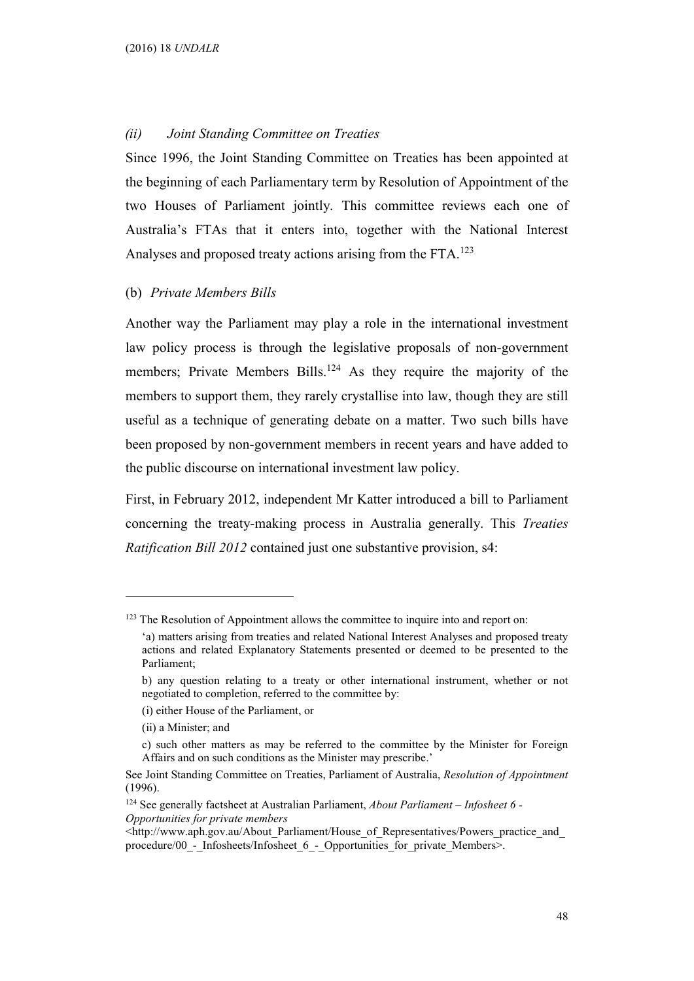#### (ii) Joint Standing Committee on Treaties

Since 1996, the Joint Standing Committee on Treaties has been appointed at the beginning of each Parliamentary term by Resolution of Appointment of the two Houses of Parliament jointly. This committee reviews each one of Australia's FTAs that it enters into, together with the National Interest Analyses and proposed treaty actions arising from the FTA.<sup>123</sup>

### (b) Private Members Bills

Another way the Parliament may play a role in the international investment law policy process is through the legislative proposals of non-government members; Private Members Bills.<sup>124</sup> As they require the majority of the members to support them, they rarely crystallise into law, though they are still useful as a technique of generating debate on a matter. Two such bills have been proposed by non-government members in recent years and have added to the public discourse on international investment law policy.

First, in February 2012, independent Mr Katter introduced a bill to Parliament concerning the treaty-making process in Australia generally. This Treaties Ratification Bill 2012 contained just one substantive provision, s4:

- (i) either House of the Parliament, or
- (ii) a Minister; and

<sup>&</sup>lt;sup>123</sup> The Resolution of Appointment allows the committee to inquire into and report on:

<sup>&#</sup>x27;a) matters arising from treaties and related National Interest Analyses and proposed treaty actions and related Explanatory Statements presented or deemed to be presented to the Parliament;

b) any question relating to a treaty or other international instrument, whether or not negotiated to completion, referred to the committee by:

c) such other matters as may be referred to the committee by the Minister for Foreign Affairs and on such conditions as the Minister may prescribe.'

See Joint Standing Committee on Treaties, Parliament of Australia, Resolution of Appointment (1996).

 $124$  See generally factsheet at Australian Parliament, About Parliament - Infosheet 6 -Opportunities for private members

 $\text{thtp://www.aph.gov.au/About Parliament/House of Representatives/Powers practice}$  and procedure/00\_-\_Infosheets/Infosheet\_6\_-\_Opportunities\_for\_private\_Members>.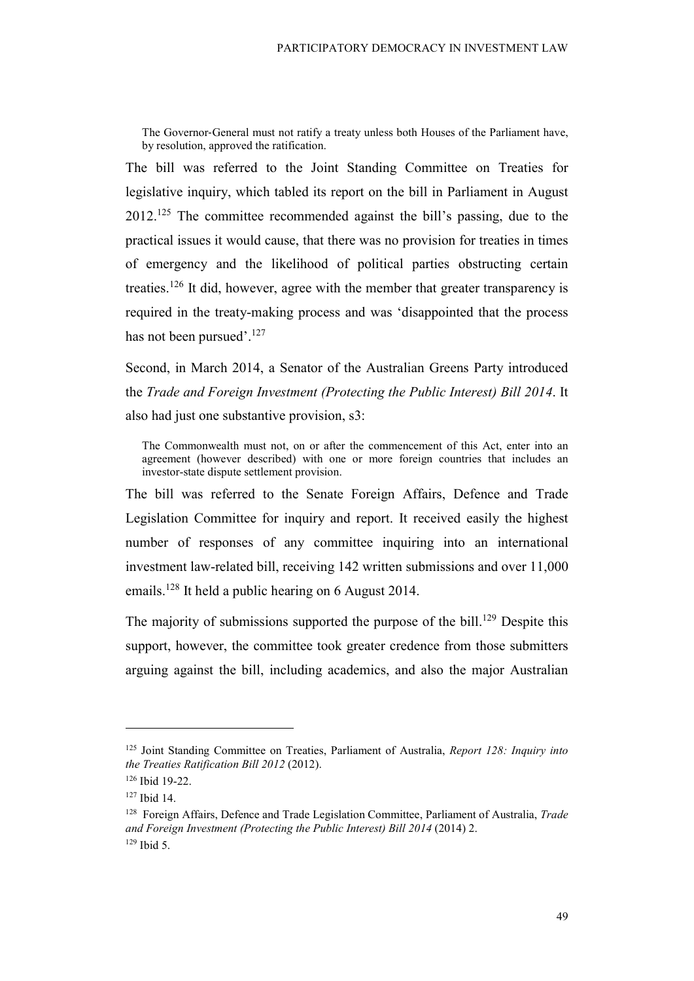The Governor-General must not ratify a treaty unless both Houses of the Parliament have, by resolution, approved the ratification.

The bill was referred to the Joint Standing Committee on Treaties for legislative inquiry, which tabled its report on the bill in Parliament in August 2012.<sup>125</sup> The committee recommended against the bill's passing, due to the practical issues it would cause, that there was no provision for treaties in times of emergency and the likelihood of political parties obstructing certain treaties.<sup>126</sup> It did, however, agree with the member that greater transparency is required in the treaty-making process and was 'disappointed that the process has not been pursued'.<sup>127</sup>

Second, in March 2014, a Senator of the Australian Greens Party introduced the Trade and Foreign Investment (Protecting the Public Interest) Bill 2014. It also had just one substantive provision, s3:

The Commonwealth must not, on or after the commencement of this Act, enter into an agreement (however described) with one or more foreign countries that includes an investor-state dispute settlement provision.

The bill was referred to the Senate Foreign Affairs, Defence and Trade Legislation Committee for inquiry and report. It received easily the highest number of responses of any committee inquiring into an international investment law-related bill, receiving 142 written submissions and over 11,000 emails.<sup>128</sup> It held a public hearing on 6 August 2014.

The majority of submissions supported the purpose of the bill.<sup>129</sup> Despite this support, however, the committee took greater credence from those submitters arguing against the bill, including academics, and also the major Australian

<sup>&</sup>lt;sup>125</sup> Joint Standing Committee on Treaties, Parliament of Australia, *Report 128: Inquiry into* the Treaties Ratification Bill 2012 (2012).

<sup>126</sup> Ibid 19-22.

<sup>127</sup> Ibid 14.

<sup>&</sup>lt;sup>128</sup> Foreign Affairs, Defence and Trade Legislation Committee, Parliament of Australia, *Trade* and Foreign Investment (Protecting the Public Interest) Bill 2014 (2014) 2. 129 Ibid 5.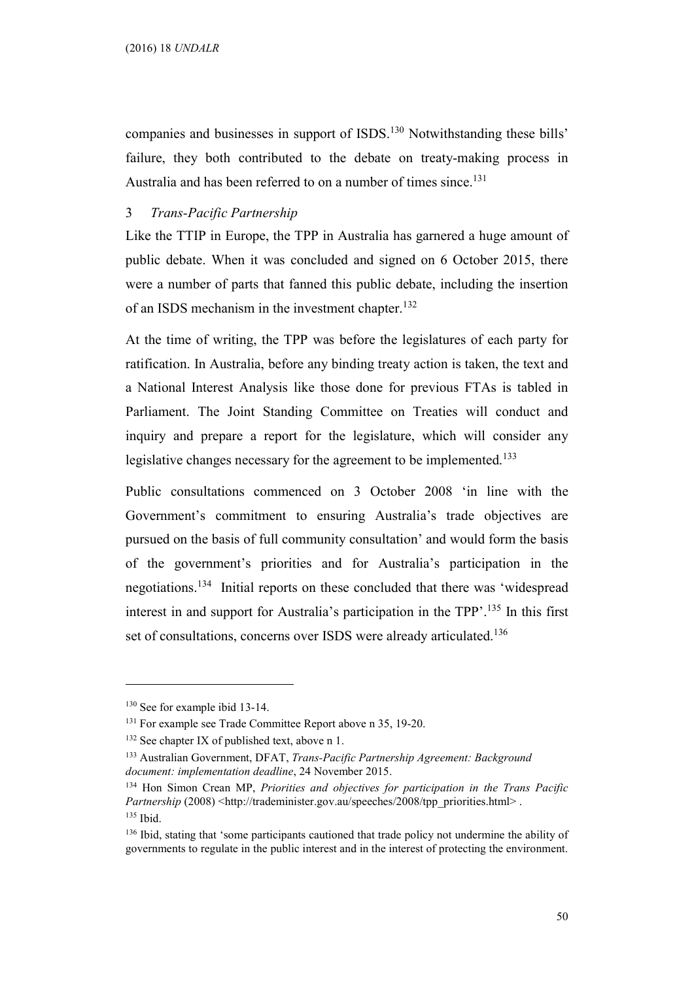companies and businesses in support of ISDS.<sup>130</sup> Notwithstanding these bills' failure, they both contributed to the debate on treaty-making process in Australia and has been referred to on a number of times since.<sup>131</sup>

## 3 Trans-Pacific Partnership

Like the TTIP in Europe, the TPP in Australia has garnered a huge amount of public debate. When it was concluded and signed on 6 October 2015, there were a number of parts that fanned this public debate, including the insertion of an ISDS mechanism in the investment chapter.<sup>132</sup>

At the time of writing, the TPP was before the legislatures of each party for ratification. In Australia, before any binding treaty action is taken, the text and a National Interest Analysis like those done for previous FTAs is tabled in Parliament. The Joint Standing Committee on Treaties will conduct and inquiry and prepare a report for the legislature, which will consider any legislative changes necessary for the agreement to be implemented.<sup>133</sup>

Public consultations commenced on 3 October 2008 'in line with the Government's commitment to ensuring Australia's trade objectives are pursued on the basis of full community consultation' and would form the basis of the government's priorities and for Australia's participation in the negotiations.<sup>134</sup> Initial reports on these concluded that there was 'widespread interest in and support for Australia's participation in the TPP'.<sup>135</sup> In this first set of consultations, concerns over ISDS were already articulated.<sup>136</sup>

<sup>130</sup> See for example ibid 13-14.

<sup>&</sup>lt;sup>131</sup> For example see Trade Committee Report above n 35, 19-20.

 $132$  See chapter IX of published text, above n 1.

<sup>&</sup>lt;sup>133</sup> Australian Government, DFAT, Trans-Pacific Partnership Agreement: Background document: implementation deadline, 24 November 2015.

<sup>&</sup>lt;sup>134</sup> Hon Simon Crean MP, *Priorities and objectives for participation in the Trans Pacific* Partnership (2008) <http://trademinister.gov.au/speeches/2008/tpp\_priorities.html>. <sup>135</sup> Ibid.

<sup>&</sup>lt;sup>136</sup> Ibid, stating that 'some participants cautioned that trade policy not undermine the ability of governments to regulate in the public interest and in the interest of protecting the environment.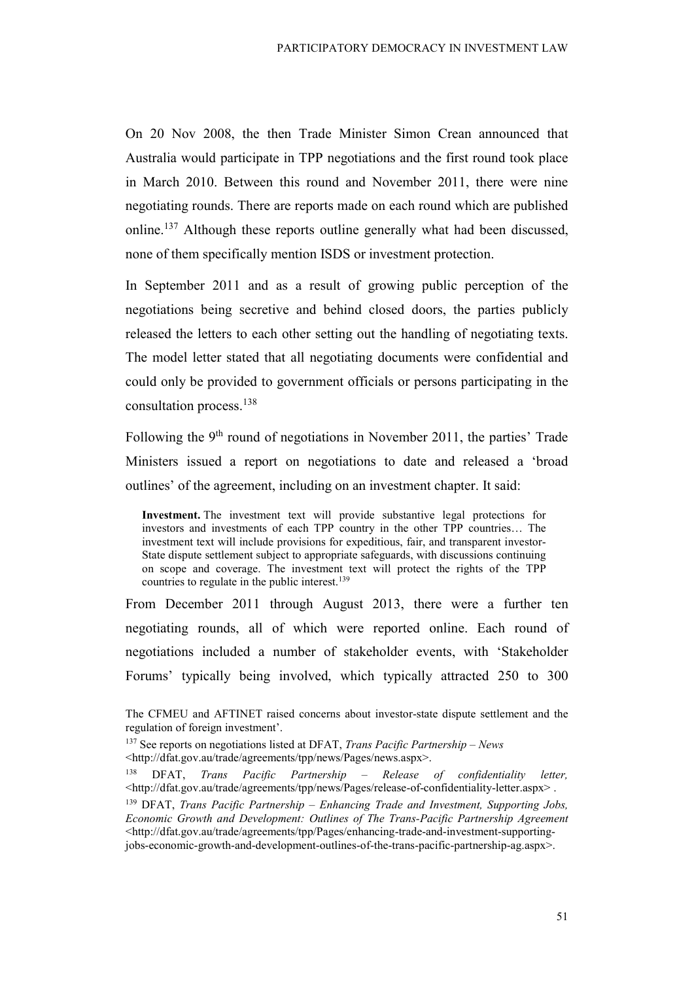On 20 Nov 2008, the then Trade Minister Simon Crean announced that Australia would participate in TPP negotiations and the first round took place in March 2010. Between this round and November 2011, there were nine negotiating rounds. There are reports made on each round which are published online.<sup>137</sup> Although these reports outline generally what had been discussed, none of them specifically mention ISDS or investment protection.

In September 2011 and as a result of growing public perception of the negotiations being secretive and behind closed doors, the parties publicly released the letters to each other setting out the handling of negotiating texts. The model letter stated that all negotiating documents were confidential and could only be provided to government officials or persons participating in the consultation process.<sup>138</sup>

Following the  $9<sup>th</sup>$  round of negotiations in November 2011, the parties' Trade Ministers issued a report on negotiations to date and released a 'broad outlines' of the agreement, including on an investment chapter. It said:

Investment. The investment text will provide substantive legal protections for investors and investments of each TPP country in the other TPP countries… The investment text will include provisions for expeditious, fair, and transparent investor-State dispute settlement subject to appropriate safeguards, with discussions continuing on scope and coverage. The investment text will protect the rights of the TPP countries to regulate in the public interest.<sup>139</sup>

From December 2011 through August 2013, there were a further ten negotiating rounds, all of which were reported online. Each round of negotiations included a number of stakeholder events, with 'Stakeholder Forums' typically being involved, which typically attracted 250 to 300

The CFMEU and AFTINET raised concerns about investor-state dispute settlement and the regulation of foreign investment'.

 $137$  See reports on negotiations listed at DFAT, Trans Pacific Partnership – News <http://dfat.gov.au/trade/agreements/tpp/news/Pages/news.aspx>.

<sup>138</sup> DFAT, Trans Pacific Partnership – Release of confidentiality letter, <http://dfat.gov.au/trade/agreements/tpp/news/Pages/release-of-confidentiality-letter.aspx> .  $139$  DFAT, Trans Pacific Partnership – Enhancing Trade and Investment, Supporting Jobs, Economic Growth and Development: Outlines of The Trans-Pacific Partnership Agreement <http://dfat.gov.au/trade/agreements/tpp/Pages/enhancing-trade-and-investment-supportingjobs-economic-growth-and-development-outlines-of-the-trans-pacific-partnership-ag.aspx>.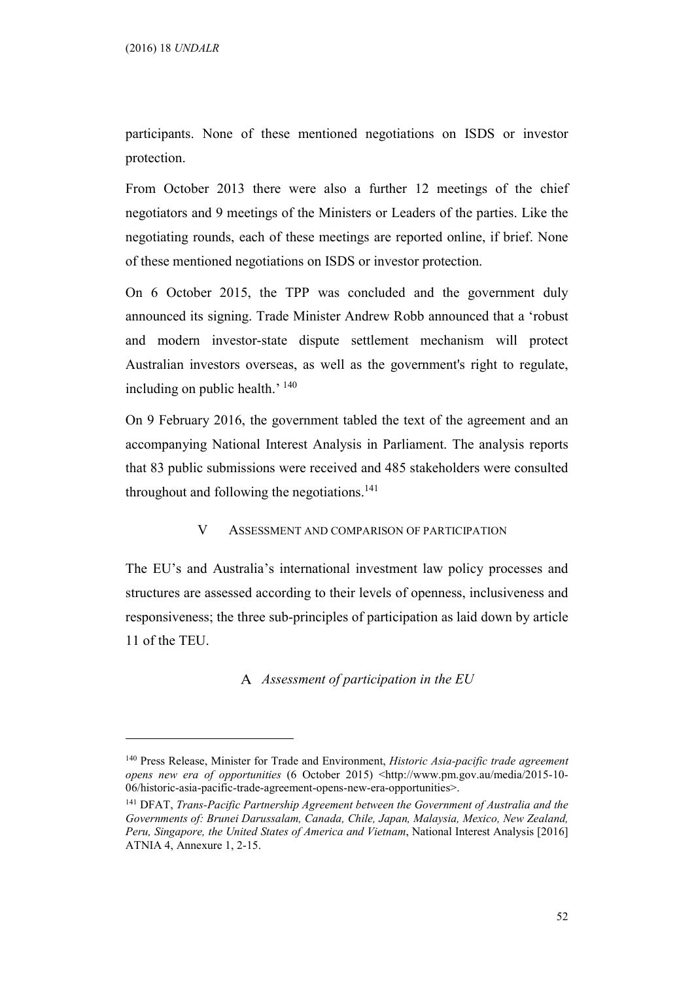$\overline{a}$ 

participants. None of these mentioned negotiations on ISDS or investor protection.

From October 2013 there were also a further 12 meetings of the chief negotiators and 9 meetings of the Ministers or Leaders of the parties. Like the negotiating rounds, each of these meetings are reported online, if brief. None of these mentioned negotiations on ISDS or investor protection.

On 6 October 2015, the TPP was concluded and the government duly announced its signing. Trade Minister Andrew Robb announced that a 'robust and modern investor-state dispute settlement mechanism will protect Australian investors overseas, as well as the government's right to regulate, including on public health.' <sup>140</sup>

On 9 February 2016, the government tabled the text of the agreement and an accompanying National Interest Analysis in Parliament. The analysis reports that 83 public submissions were received and 485 stakeholders were consulted throughout and following the negotiations.<sup>141</sup>

## V ASSESSMENT AND COMPARISON OF PARTICIPATION

The EU's and Australia's international investment law policy processes and structures are assessed according to their levels of openness, inclusiveness and responsiveness; the three sub-principles of participation as laid down by article 11 of the TEU.

A Assessment of participation in the  $EU$ 

 $140$  Press Release, Minister for Trade and Environment, *Historic Asia-pacific trade agreement* opens new era of opportunities (6 October 2015) <http://www.pm.gov.au/media/2015-10- 06/historic-asia-pacific-trade-agreement-opens-new-era-opportunities>.

<sup>&</sup>lt;sup>141</sup> DFAT, Trans-Pacific Partnership Agreement between the Government of Australia and the Governments of: Brunei Darussalam, Canada, Chile, Japan, Malaysia, Mexico, New Zealand, Peru, Singapore, the United States of America and Vietnam, National Interest Analysis [2016] ATNIA 4, Annexure 1, 2-15.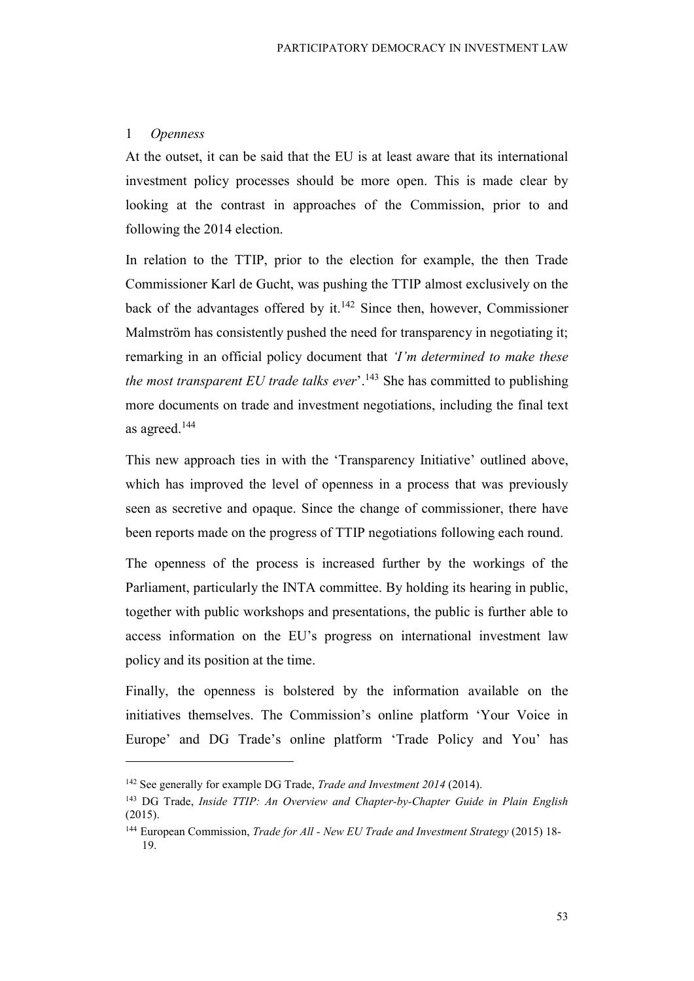#### 1 Openness

 $\overline{a}$ 

At the outset, it can be said that the EU is at least aware that its international investment policy processes should be more open. This is made clear by looking at the contrast in approaches of the Commission, prior to and following the 2014 election.

In relation to the TTIP, prior to the election for example, the then Trade Commissioner Karl de Gucht, was pushing the TTIP almost exclusively on the back of the advantages offered by it.<sup>142</sup> Since then, however, Commissioner Malmström has consistently pushed the need for transparency in negotiating it; remarking in an official policy document that 'I'm determined to make these the most transparent EU trade talks ever<sup>'</sup>.<sup>143</sup> She has committed to publishing more documents on trade and investment negotiations, including the final text as agreed.<sup>144</sup>

This new approach ties in with the 'Transparency Initiative' outlined above, which has improved the level of openness in a process that was previously seen as secretive and opaque. Since the change of commissioner, there have been reports made on the progress of TTIP negotiations following each round.

The openness of the process is increased further by the workings of the Parliament, particularly the INTA committee. By holding its hearing in public, together with public workshops and presentations, the public is further able to access information on the EU's progress on international investment law policy and its position at the time.

Finally, the openness is bolstered by the information available on the initiatives themselves. The Commission's online platform 'Your Voice in Europe' and DG Trade's online platform 'Trade Policy and You' has

<sup>&</sup>lt;sup>142</sup> See generally for example DG Trade, *Trade and Investment 2014* (2014).

<sup>&</sup>lt;sup>143</sup> DG Trade, *Inside TTIP: An Overview and Chapter-by-Chapter Guide in Plain English* (2015).

<sup>&</sup>lt;sup>144</sup> European Commission, *Trade for All - New EU Trade and Investment Strategy* (2015) 18-19.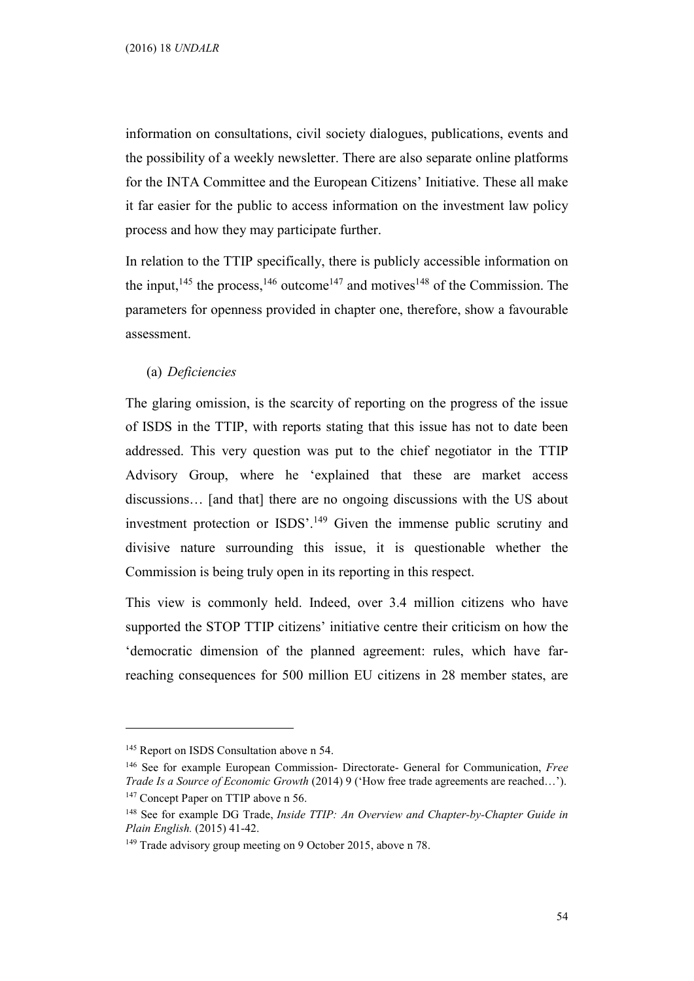information on consultations, civil society dialogues, publications, events and the possibility of a weekly newsletter. There are also separate online platforms for the INTA Committee and the European Citizens' Initiative. These all make it far easier for the public to access information on the investment law policy process and how they may participate further.

In relation to the TTIP specifically, there is publicly accessible information on the input,<sup>145</sup> the process,<sup>146</sup> outcome<sup>147</sup> and motives<sup>148</sup> of the Commission. The parameters for openness provided in chapter one, therefore, show a favourable assessment.

(a) Deficiencies

The glaring omission, is the scarcity of reporting on the progress of the issue of ISDS in the TTIP, with reports stating that this issue has not to date been addressed. This very question was put to the chief negotiator in the TTIP Advisory Group, where he 'explained that these are market access discussions… [and that] there are no ongoing discussions with the US about investment protection or ISDS'.<sup>149</sup> Given the immense public scrutiny and divisive nature surrounding this issue, it is questionable whether the Commission is being truly open in its reporting in this respect.

This view is commonly held. Indeed, over 3.4 million citizens who have supported the STOP TTIP citizens' initiative centre their criticism on how the 'democratic dimension of the planned agreement: rules, which have farreaching consequences for 500 million EU citizens in 28 member states, are

<sup>&</sup>lt;sup>145</sup> Report on ISDS Consultation above n 54.

<sup>&</sup>lt;sup>146</sup> See for example European Commission- Directorate- General for Communication, *Free* Trade Is a Source of Economic Growth (2014) 9 ('How free trade agreements are reached…'). <sup>147</sup> Concept Paper on TTIP above n 56.

 $148$  See for example DG Trade, Inside TTIP: An Overview and Chapter-by-Chapter Guide in Plain English. (2015) 41-42.

<sup>&</sup>lt;sup>149</sup> Trade advisory group meeting on 9 October 2015, above n 78.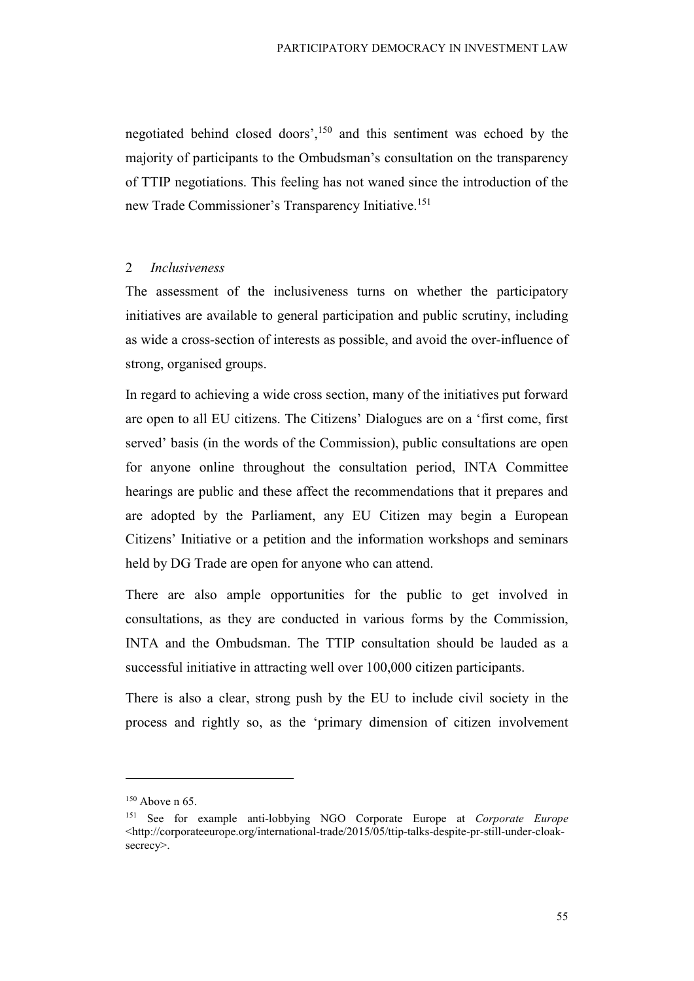negotiated behind closed doors', $150$  and this sentiment was echoed by the majority of participants to the Ombudsman's consultation on the transparency of TTIP negotiations. This feeling has not waned since the introduction of the new Trade Commissioner's Transparency Initiative.<sup>151</sup>

#### 2 Inclusiveness

The assessment of the inclusiveness turns on whether the participatory initiatives are available to general participation and public scrutiny, including as wide a cross-section of interests as possible, and avoid the over-influence of strong, organised groups.

In regard to achieving a wide cross section, many of the initiatives put forward are open to all EU citizens. The Citizens' Dialogues are on a 'first come, first served' basis (in the words of the Commission), public consultations are open for anyone online throughout the consultation period, INTA Committee hearings are public and these affect the recommendations that it prepares and are adopted by the Parliament, any EU Citizen may begin a European Citizens' Initiative or a petition and the information workshops and seminars held by DG Trade are open for anyone who can attend.

There are also ample opportunities for the public to get involved in consultations, as they are conducted in various forms by the Commission, INTA and the Ombudsman. The TTIP consultation should be lauded as a successful initiative in attracting well over 100,000 citizen participants.

There is also a clear, strong push by the EU to include civil society in the process and rightly so, as the 'primary dimension of citizen involvement

 $150$  Above n 65.

<sup>&</sup>lt;sup>151</sup> See for example anti-lobbying NGO Corporate Europe at *Corporate Europe* <http://corporateeurope.org/international-trade/2015/05/ttip-talks-despite-pr-still-under-cloaksecrecy>.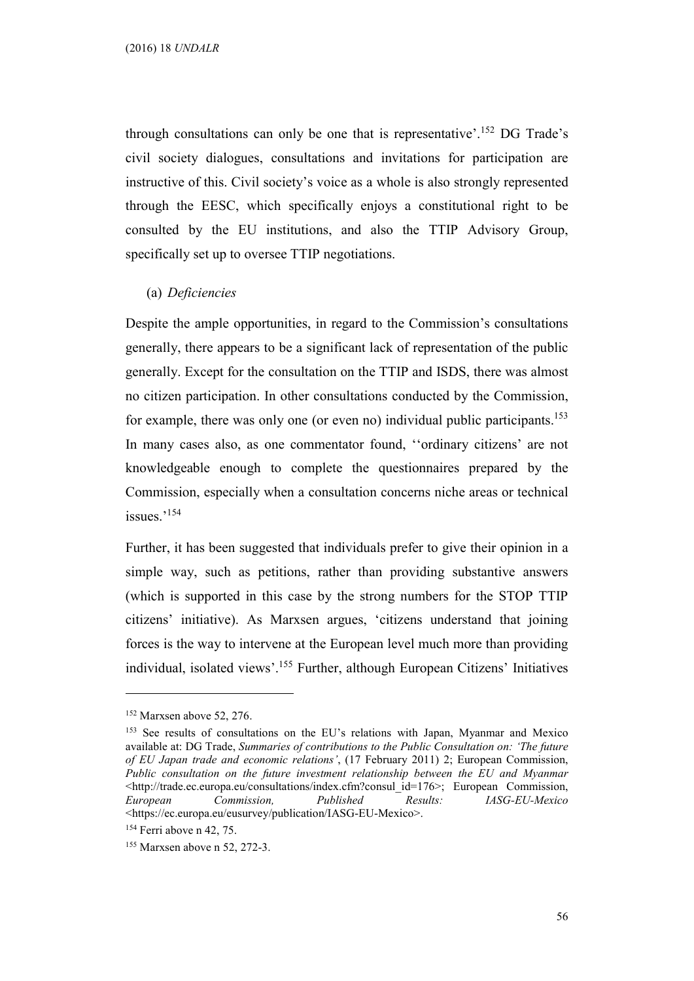through consultations can only be one that is representative'.<sup>152</sup> DG Trade's civil society dialogues, consultations and invitations for participation are instructive of this. Civil society's voice as a whole is also strongly represented through the EESC, which specifically enjoys a constitutional right to be consulted by the EU institutions, and also the TTIP Advisory Group, specifically set up to oversee TTIP negotiations.

#### (a) Deficiencies

Despite the ample opportunities, in regard to the Commission's consultations generally, there appears to be a significant lack of representation of the public generally. Except for the consultation on the TTIP and ISDS, there was almost no citizen participation. In other consultations conducted by the Commission, for example, there was only one (or even no) individual public participants.<sup>153</sup> In many cases also, as one commentator found, ''ordinary citizens' are not knowledgeable enough to complete the questionnaires prepared by the Commission, especially when a consultation concerns niche areas or technical issues.'<sup>154</sup>

Further, it has been suggested that individuals prefer to give their opinion in a simple way, such as petitions, rather than providing substantive answers (which is supported in this case by the strong numbers for the STOP TTIP citizens' initiative). As Marxsen argues, 'citizens understand that joining forces is the way to intervene at the European level much more than providing individual, isolated views'.<sup>155</sup> Further, although European Citizens' Initiatives

<sup>152</sup> Marxsen above 52, 276.

<sup>153</sup> See results of consultations on the EU's relations with Japan, Myanmar and Mexico available at: DG Trade, Summaries of contributions to the Public Consultation on: 'The future of EU Japan trade and economic relations', (17 February 2011) 2; European Commission, Public consultation on the future investment relationship between the EU and Myanmar <http://trade.ec.europa.eu/consultations/index.cfm?consul\_id=176>; European Commission, European Commission, Published Results: IASG-EU-Mexico <https://ec.europa.eu/eusurvey/publication/IASG-EU-Mexico>.

<sup>&</sup>lt;sup>154</sup> Ferri above n 42, 75.

<sup>155</sup> Marxsen above n 52, 272-3.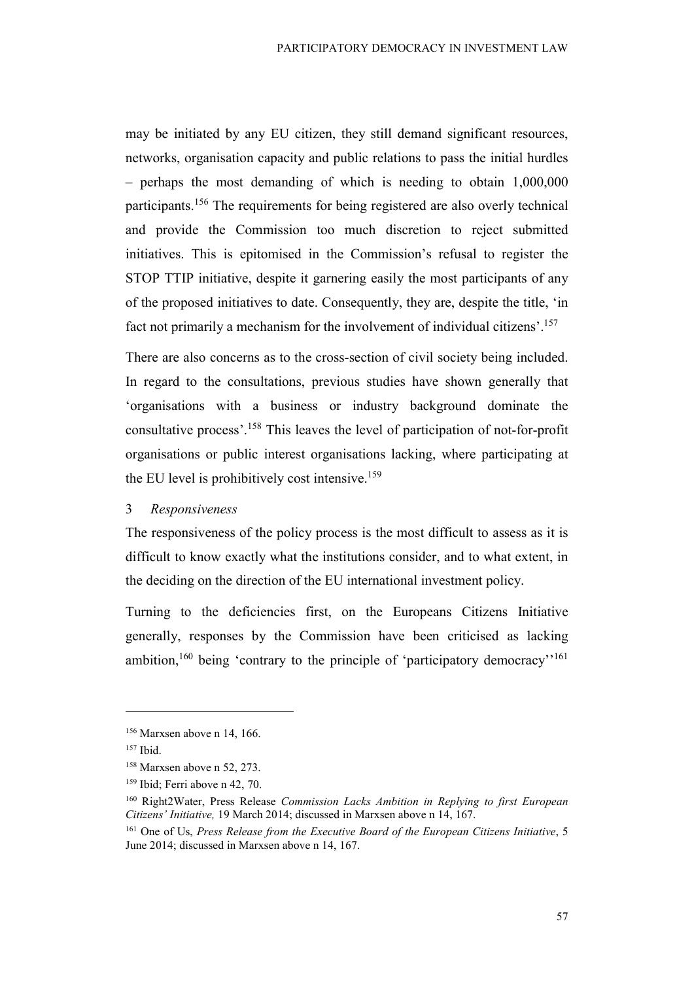may be initiated by any EU citizen, they still demand significant resources, networks, organisation capacity and public relations to pass the initial hurdles – perhaps the most demanding of which is needing to obtain 1,000,000 participants.<sup>156</sup> The requirements for being registered are also overly technical and provide the Commission too much discretion to reject submitted initiatives. This is epitomised in the Commission's refusal to register the STOP TTIP initiative, despite it garnering easily the most participants of any of the proposed initiatives to date. Consequently, they are, despite the title, 'in fact not primarily a mechanism for the involvement of individual citizens'.<sup>157</sup>

There are also concerns as to the cross-section of civil society being included. In regard to the consultations, previous studies have shown generally that 'organisations with a business or industry background dominate the consultative process'.<sup>158</sup> This leaves the level of participation of not-for-profit organisations or public interest organisations lacking, where participating at the EU level is prohibitively cost intensive.<sup>159</sup>

#### 3 Responsiveness

The responsiveness of the policy process is the most difficult to assess as it is difficult to know exactly what the institutions consider, and to what extent, in the deciding on the direction of the EU international investment policy.

Turning to the deficiencies first, on the Europeans Citizens Initiative generally, responses by the Commission have been criticised as lacking ambition,<sup>160</sup> being 'contrary to the principle of 'participatory democracy'<sup>'161</sup>

<sup>156</sup> Marxsen above n 14, 166.

 $157$  Ibid.

<sup>158</sup> Marxsen above n 52, 273.

<sup>159</sup> Ibid; Ferri above n 42, 70.

<sup>&</sup>lt;sup>160</sup> Right2Water, Press Release Commission Lacks Ambition in Replying to first European Citizens' Initiative, 19 March 2014; discussed in Marxsen above n 14, 167.

<sup>&</sup>lt;sup>161</sup> One of Us, Press Release from the Executive Board of the European Citizens Initiative, 5 June 2014; discussed in Marxsen above n 14, 167.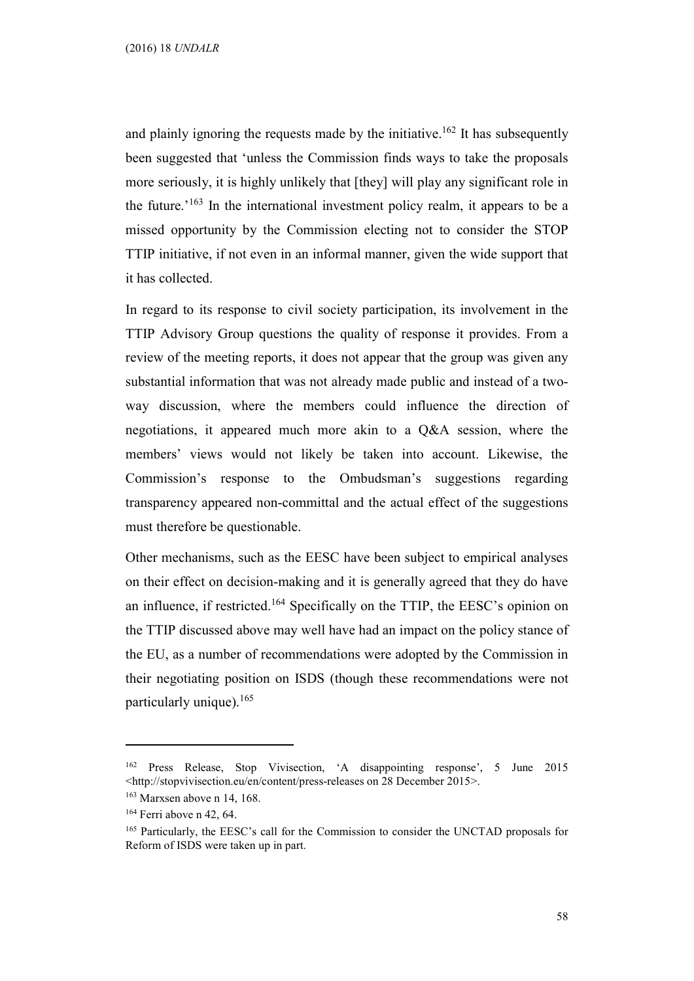and plainly ignoring the requests made by the initiative.<sup>162</sup> It has subsequently been suggested that 'unless the Commission finds ways to take the proposals more seriously, it is highly unlikely that [they] will play any significant role in the future.<sup> $163$ </sup> In the international investment policy realm, it appears to be a missed opportunity by the Commission electing not to consider the STOP TTIP initiative, if not even in an informal manner, given the wide support that it has collected.

In regard to its response to civil society participation, its involvement in the TTIP Advisory Group questions the quality of response it provides. From a review of the meeting reports, it does not appear that the group was given any substantial information that was not already made public and instead of a twoway discussion, where the members could influence the direction of negotiations, it appeared much more akin to a Q&A session, where the members' views would not likely be taken into account. Likewise, the Commission's response to the Ombudsman's suggestions regarding transparency appeared non-committal and the actual effect of the suggestions must therefore be questionable.

Other mechanisms, such as the EESC have been subject to empirical analyses on their effect on decision-making and it is generally agreed that they do have an influence, if restricted.<sup>164</sup> Specifically on the TTIP, the EESC's opinion on the TTIP discussed above may well have had an impact on the policy stance of the EU, as a number of recommendations were adopted by the Commission in their negotiating position on ISDS (though these recommendations were not particularly unique).<sup>165</sup>

<sup>162</sup> Press Release, Stop Vivisection, 'A disappointing response', 5 June 2015 <http://stopvivisection.eu/en/content/press-releases on 28 December 2015>.

<sup>&</sup>lt;sup>163</sup> Marxsen above n 14, 168.

<sup>164</sup> Ferri above n 42, 64.

<sup>165</sup> Particularly, the EESC's call for the Commission to consider the UNCTAD proposals for Reform of ISDS were taken up in part.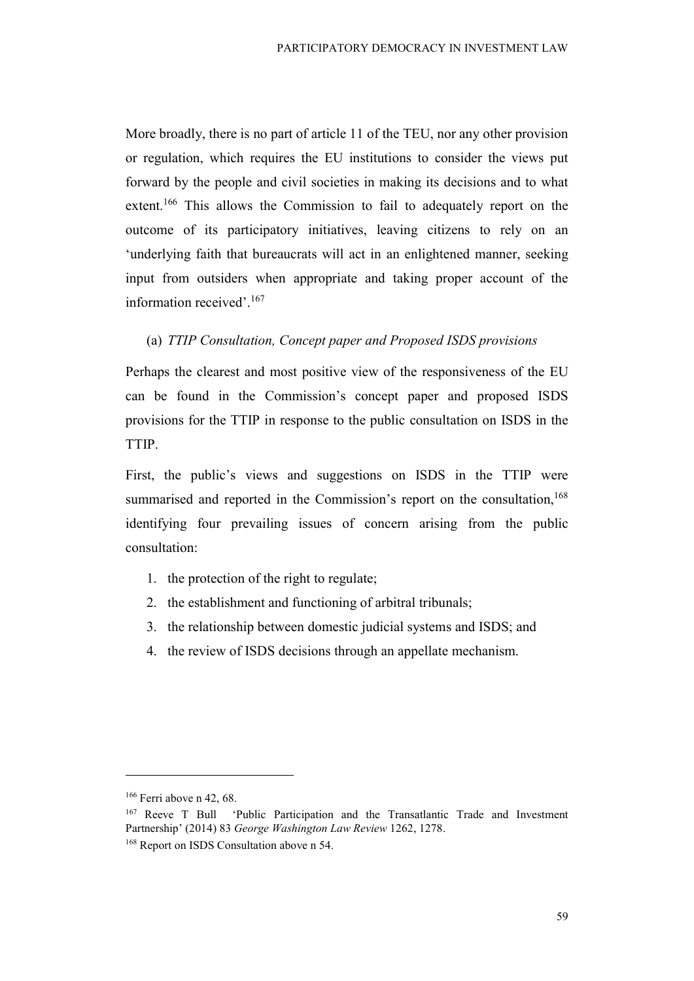More broadly, there is no part of article 11 of the TEU, nor any other provision or regulation, which requires the EU institutions to consider the views put forward by the people and civil societies in making its decisions and to what extent.<sup>166</sup> This allows the Commission to fail to adequately report on the outcome of its participatory initiatives, leaving citizens to rely on an 'underlying faith that bureaucrats will act in an enlightened manner, seeking input from outsiders when appropriate and taking proper account of the information received'.<sup>167</sup>

#### (a) TTIP Consultation, Concept paper and Proposed ISDS provisions

Perhaps the clearest and most positive view of the responsiveness of the EU can be found in the Commission's concept paper and proposed ISDS provisions for the TTIP in response to the public consultation on ISDS in the TTIP.

First, the public's views and suggestions on ISDS in the TTIP were summarised and reported in the Commission's report on the consultation,<sup>168</sup> identifying four prevailing issues of concern arising from the public consultation:

- 1. the protection of the right to regulate;
- 2. the establishment and functioning of arbitral tribunals;
- 3. the relationship between domestic judicial systems and ISDS; and
- 4. the review of ISDS decisions through an appellate mechanism.

<sup>166</sup> Ferri above n 42, 68.

<sup>167</sup> Reeve T Bull 'Public Participation and the Transatlantic Trade and Investment Partnership' (2014) 83 George Washington Law Review 1262, 1278. <sup>168</sup> Report on ISDS Consultation above n 54.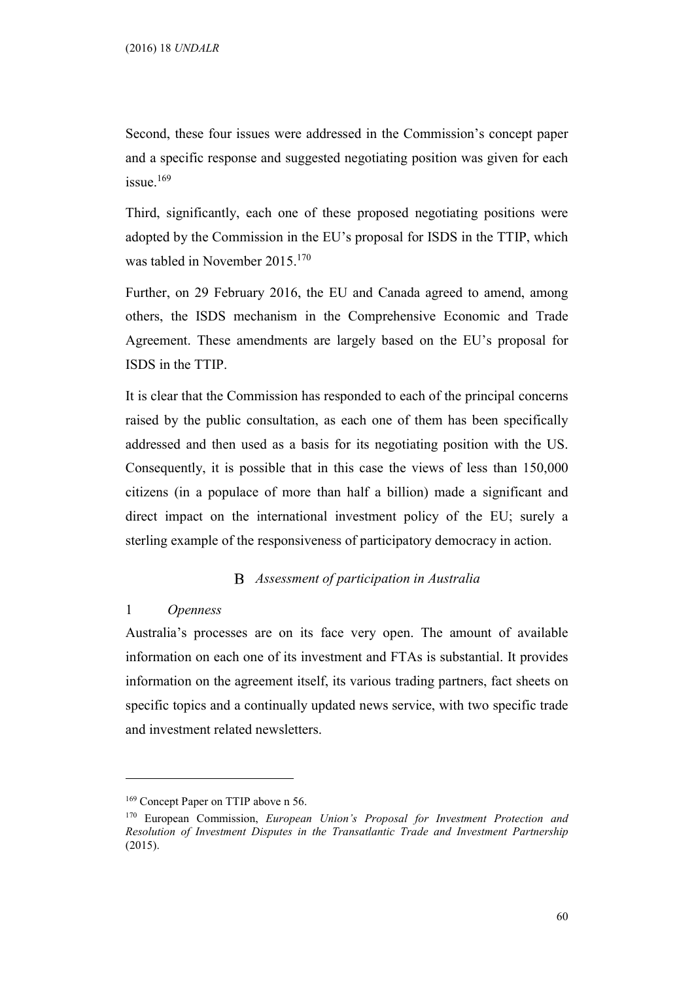Second, these four issues were addressed in the Commission's concept paper and a specific response and suggested negotiating position was given for each issue.<sup>169</sup>

Third, significantly, each one of these proposed negotiating positions were adopted by the Commission in the EU's proposal for ISDS in the TTIP, which was tabled in November 2015.<sup>170</sup>

Further, on 29 February 2016, the EU and Canada agreed to amend, among others, the ISDS mechanism in the Comprehensive Economic and Trade Agreement. These amendments are largely based on the EU's proposal for ISDS in the TTIP.

It is clear that the Commission has responded to each of the principal concerns raised by the public consultation, as each one of them has been specifically addressed and then used as a basis for its negotiating position with the US. Consequently, it is possible that in this case the views of less than 150,000 citizens (in a populace of more than half a billion) made a significant and direct impact on the international investment policy of the EU; surely a sterling example of the responsiveness of participatory democracy in action.

#### Assessment of participation in Australia

## 1 Openness

 $\overline{a}$ 

Australia's processes are on its face very open. The amount of available information on each one of its investment and FTAs is substantial. It provides information on the agreement itself, its various trading partners, fact sheets on specific topics and a continually updated news service, with two specific trade and investment related newsletters.

<sup>&</sup>lt;sup>169</sup> Concept Paper on TTIP above n 56.

<sup>170</sup> European Commission, European Union's Proposal for Investment Protection and Resolution of Investment Disputes in the Transatlantic Trade and Investment Partnership (2015).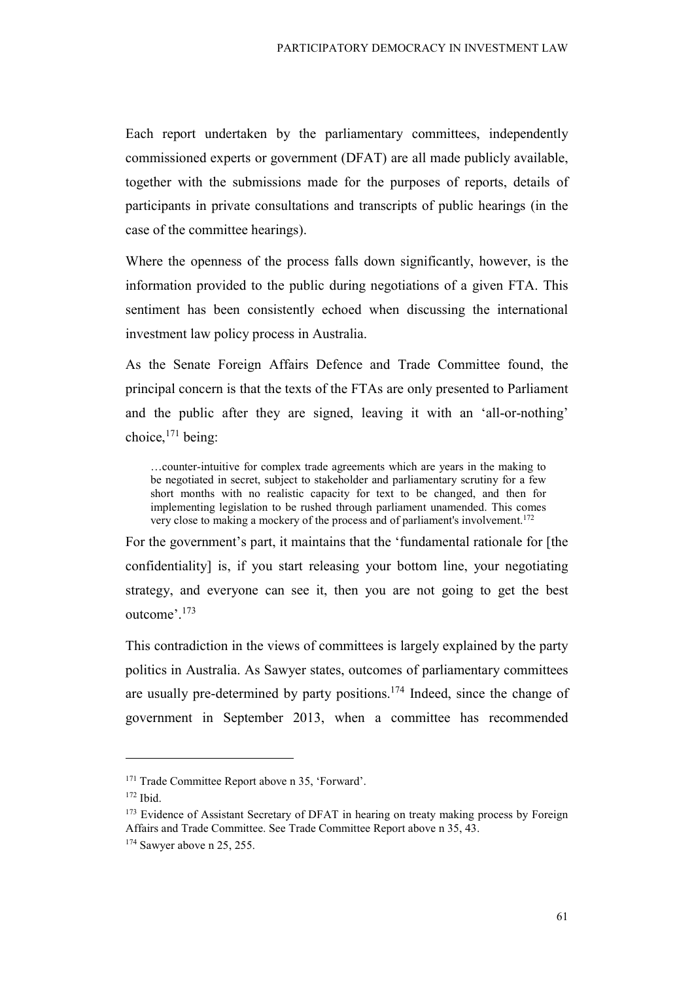Each report undertaken by the parliamentary committees, independently commissioned experts or government (DFAT) are all made publicly available, together with the submissions made for the purposes of reports, details of participants in private consultations and transcripts of public hearings (in the case of the committee hearings).

Where the openness of the process falls down significantly, however, is the information provided to the public during negotiations of a given FTA. This sentiment has been consistently echoed when discussing the international investment law policy process in Australia.

As the Senate Foreign Affairs Defence and Trade Committee found, the principal concern is that the texts of the FTAs are only presented to Parliament and the public after they are signed, leaving it with an 'all-or-nothing' choice, $171$  being:

…counter-intuitive for complex trade agreements which are years in the making to be negotiated in secret, subject to stakeholder and parliamentary scrutiny for a few short months with no realistic capacity for text to be changed, and then for implementing legislation to be rushed through parliament unamended. This comes very close to making a mockery of the process and of parliament's involvement.<sup>172</sup>

For the government's part, it maintains that the 'fundamental rationale for [the confidentiality] is, if you start releasing your bottom line, your negotiating strategy, and everyone can see it, then you are not going to get the best outcome'.<sup>173</sup>

This contradiction in the views of committees is largely explained by the party politics in Australia. As Sawyer states, outcomes of parliamentary committees are usually pre-determined by party positions.<sup>174</sup> Indeed, since the change of government in September 2013, when a committee has recommended

<sup>171</sup> Trade Committee Report above n 35, 'Forward'.

<sup>172</sup> Ibid.

<sup>&</sup>lt;sup>173</sup> Evidence of Assistant Secretary of DFAT in hearing on treaty making process by Foreign Affairs and Trade Committee. See Trade Committee Report above n 35, 43.

<sup>&</sup>lt;sup>174</sup> Sawyer above n 25, 255.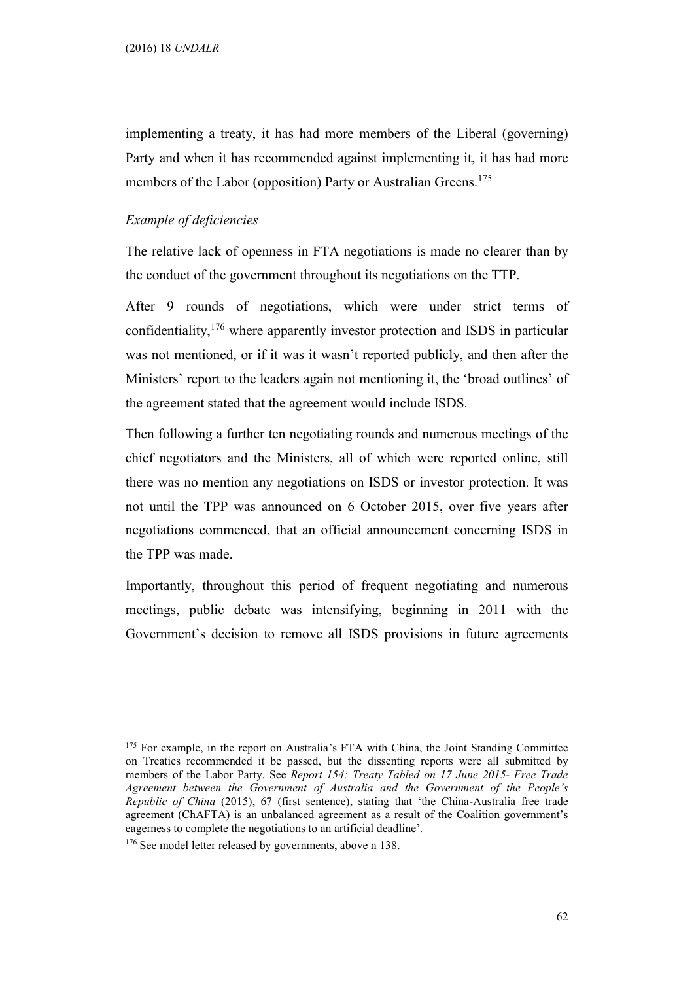implementing a treaty, it has had more members of the Liberal (governing) Party and when it has recommended against implementing it, it has had more members of the Labor (opposition) Party or Australian Greens.<sup>175</sup>

#### Example of deficiencies

The relative lack of openness in FTA negotiations is made no clearer than by the conduct of the government throughout its negotiations on the TTP.

After 9 rounds of negotiations, which were under strict terms of confidentiality,<sup>176</sup> where apparently investor protection and ISDS in particular was not mentioned, or if it was it wasn't reported publicly, and then after the Ministers' report to the leaders again not mentioning it, the 'broad outlines' of the agreement stated that the agreement would include ISDS.

Then following a further ten negotiating rounds and numerous meetings of the chief negotiators and the Ministers, all of which were reported online, still there was no mention any negotiations on ISDS or investor protection. It was not until the TPP was announced on 6 October 2015, over five years after negotiations commenced, that an official announcement concerning ISDS in the TPP was made.

Importantly, throughout this period of frequent negotiating and numerous meetings, public debate was intensifying, beginning in 2011 with the Government's decision to remove all ISDS provisions in future agreements

<sup>175</sup> For example, in the report on Australia's FTA with China, the Joint Standing Committee on Treaties recommended it be passed, but the dissenting reports were all submitted by members of the Labor Party. See Report 154: Treaty Tabled on 17 June 2015- Free Trade Agreement between the Government of Australia and the Government of the People's Republic of China (2015), 67 (first sentence), stating that 'the China-Australia free trade agreement (ChAFTA) is an unbalanced agreement as a result of the Coalition government's eagerness to complete the negotiations to an artificial deadline'.

<sup>&</sup>lt;sup>176</sup> See model letter released by governments, above n 138.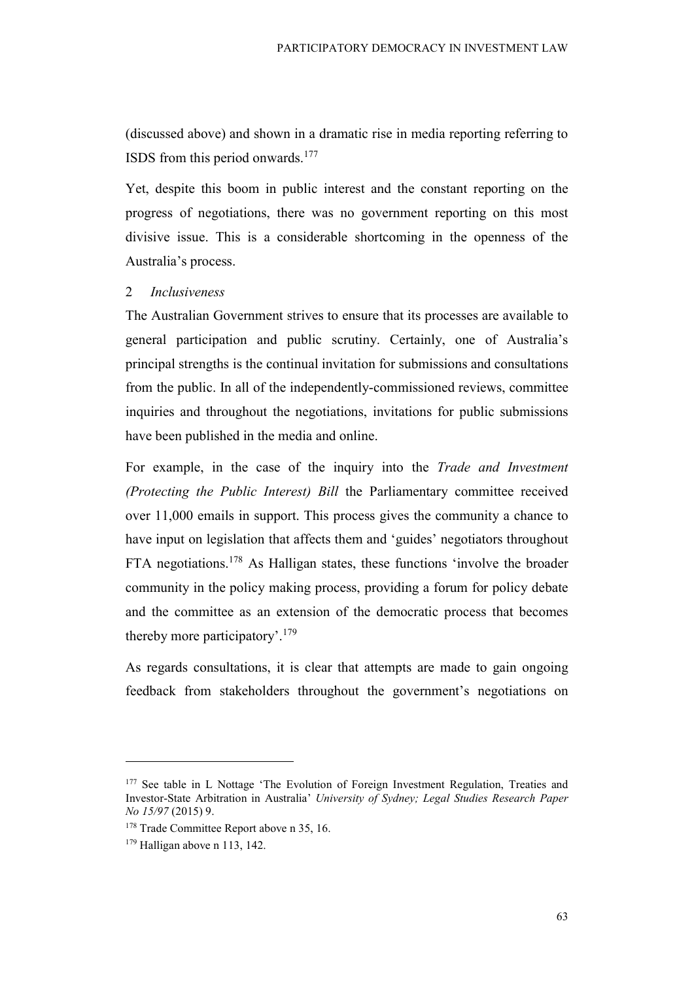(discussed above) and shown in a dramatic rise in media reporting referring to ISDS from this period onwards.<sup>177</sup>

Yet, despite this boom in public interest and the constant reporting on the progress of negotiations, there was no government reporting on this most divisive issue. This is a considerable shortcoming in the openness of the Australia's process.

#### 2 Inclusiveness

The Australian Government strives to ensure that its processes are available to general participation and public scrutiny. Certainly, one of Australia's principal strengths is the continual invitation for submissions and consultations from the public. In all of the independently-commissioned reviews, committee inquiries and throughout the negotiations, invitations for public submissions have been published in the media and online.

For example, in the case of the inquiry into the Trade and Investment (Protecting the Public Interest) Bill the Parliamentary committee received over 11,000 emails in support. This process gives the community a chance to have input on legislation that affects them and 'guides' negotiators throughout FTA negotiations.<sup>178</sup> As Halligan states, these functions 'involve the broader community in the policy making process, providing a forum for policy debate and the committee as an extension of the democratic process that becomes thereby more participatory'.<sup>179</sup>

As regards consultations, it is clear that attempts are made to gain ongoing feedback from stakeholders throughout the government's negotiations on

<sup>&</sup>lt;sup>177</sup> See table in L Nottage 'The Evolution of Foreign Investment Regulation, Treaties and Investor-State Arbitration in Australia' University of Sydney; Legal Studies Research Paper No 15/97 (2015) 9.

<sup>&</sup>lt;sup>178</sup> Trade Committee Report above n 35, 16.

 $179$  Halligan above n 113, 142.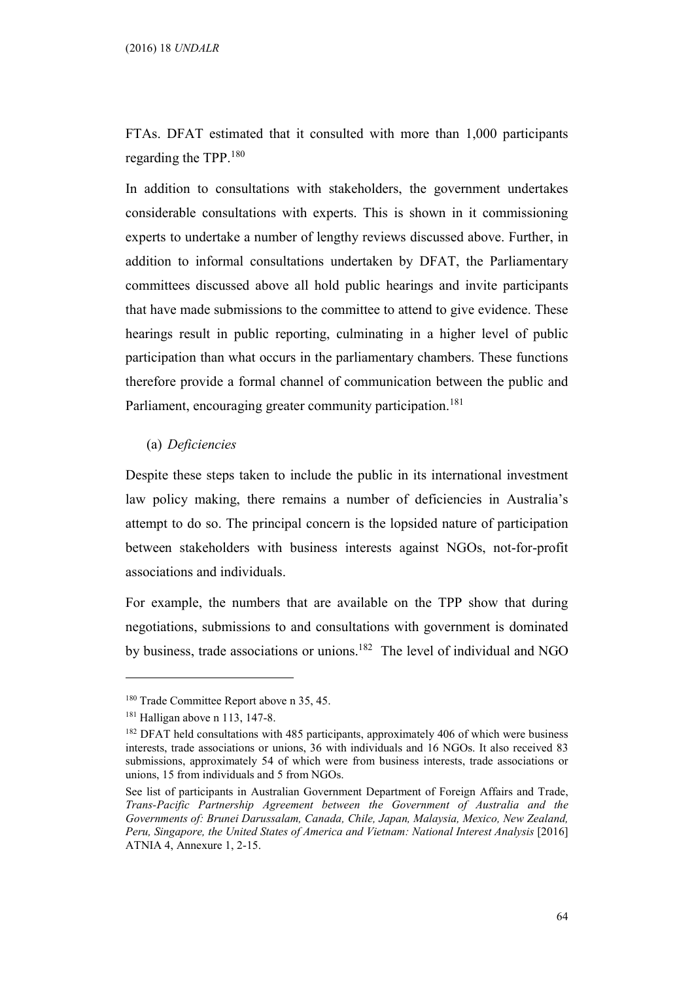FTAs. DFAT estimated that it consulted with more than 1,000 participants regarding the TPP.<sup>180</sup>

In addition to consultations with stakeholders, the government undertakes considerable consultations with experts. This is shown in it commissioning experts to undertake a number of lengthy reviews discussed above. Further, in addition to informal consultations undertaken by DFAT, the Parliamentary committees discussed above all hold public hearings and invite participants that have made submissions to the committee to attend to give evidence. These hearings result in public reporting, culminating in a higher level of public participation than what occurs in the parliamentary chambers. These functions therefore provide a formal channel of communication between the public and Parliament, encouraging greater community participation.<sup>181</sup>

#### (a) Deficiencies

Despite these steps taken to include the public in its international investment law policy making, there remains a number of deficiencies in Australia's attempt to do so. The principal concern is the lopsided nature of participation between stakeholders with business interests against NGOs, not-for-profit associations and individuals.

For example, the numbers that are available on the TPP show that during negotiations, submissions to and consultations with government is dominated by business, trade associations or unions.<sup>182</sup> The level of individual and NGO

<sup>&</sup>lt;sup>180</sup> Trade Committee Report above n 35, 45.

<sup>181</sup> Halligan above n 113, 147-8.

<sup>&</sup>lt;sup>182</sup> DFAT held consultations with 485 participants, approximately 406 of which were business interests, trade associations or unions, 36 with individuals and 16 NGOs. It also received 83 submissions, approximately 54 of which were from business interests, trade associations or unions, 15 from individuals and 5 from NGOs.

See list of participants in Australian Government Department of Foreign Affairs and Trade, Trans-Pacific Partnership Agreement between the Government of Australia and the Governments of: Brunei Darussalam, Canada, Chile, Japan, Malaysia, Mexico, New Zealand, Peru, Singapore, the United States of America and Vietnam: National Interest Analysis [2016] ATNIA 4, Annexure 1, 2-15.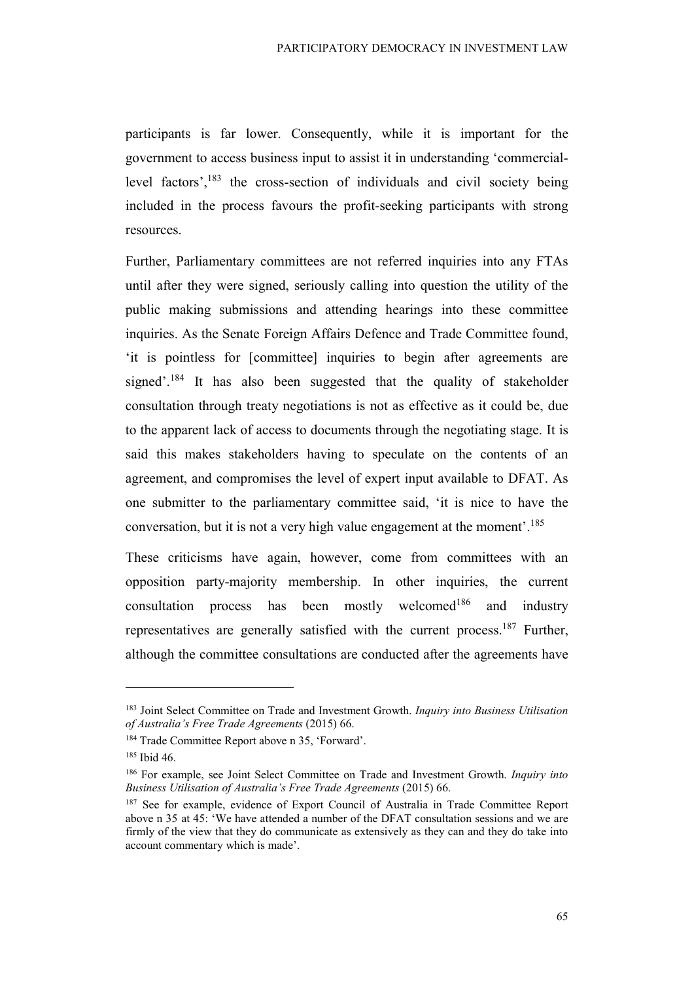participants is far lower. Consequently, while it is important for the government to access business input to assist it in understanding 'commerciallevel factors', $^{183}$  the cross-section of individuals and civil society being included in the process favours the profit-seeking participants with strong resources.

Further, Parliamentary committees are not referred inquiries into any FTAs until after they were signed, seriously calling into question the utility of the public making submissions and attending hearings into these committee inquiries. As the Senate Foreign Affairs Defence and Trade Committee found, 'it is pointless for [committee] inquiries to begin after agreements are signed'.<sup>184</sup> It has also been suggested that the quality of stakeholder consultation through treaty negotiations is not as effective as it could be, due to the apparent lack of access to documents through the negotiating stage. It is said this makes stakeholders having to speculate on the contents of an agreement, and compromises the level of expert input available to DFAT. As one submitter to the parliamentary committee said, 'it is nice to have the conversation, but it is not a very high value engagement at the moment'.<sup>185</sup>

These criticisms have again, however, come from committees with an opposition party-majority membership. In other inquiries, the current consultation process has been mostly welcomed<sup>186</sup> and industry representatives are generally satisfied with the current process.<sup>187</sup> Further, although the committee consultations are conducted after the agreements have

<sup>&</sup>lt;sup>183</sup> Joint Select Committee on Trade and Investment Growth. Inquiry into Business Utilisation of Australia's Free Trade Agreements (2015) 66.

<sup>184</sup> Trade Committee Report above n 35, 'Forward'.

<sup>185</sup> Ibid 46.

<sup>&</sup>lt;sup>186</sup> For example, see Joint Select Committee on Trade and Investment Growth. *Inquiry into* Business Utilisation of Australia's Free Trade Agreements (2015) 66.

<sup>&</sup>lt;sup>187</sup> See for example, evidence of Export Council of Australia in Trade Committee Report above n 35 at 45: 'We have attended a number of the DFAT consultation sessions and we are firmly of the view that they do communicate as extensively as they can and they do take into account commentary which is made'.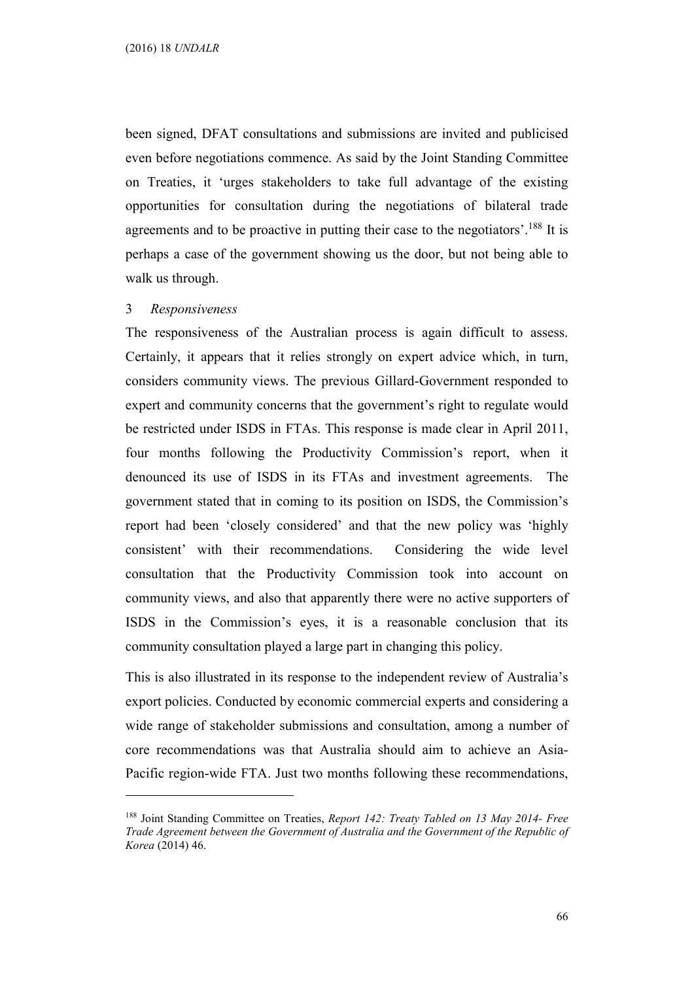been signed, DFAT consultations and submissions are invited and publicised even before negotiations commence. As said by the Joint Standing Committee on Treaties, it 'urges stakeholders to take full advantage of the existing opportunities for consultation during the negotiations of bilateral trade agreements and to be proactive in putting their case to the negotiators'.<sup>188</sup> It is perhaps a case of the government showing us the door, but not being able to walk us through.

#### 3 Responsiveness

 $\overline{a}$ 

The responsiveness of the Australian process is again difficult to assess. Certainly, it appears that it relies strongly on expert advice which, in turn, considers community views. The previous Gillard-Government responded to expert and community concerns that the government's right to regulate would be restricted under ISDS in FTAs. This response is made clear in April 2011, four months following the Productivity Commission's report, when it denounced its use of ISDS in its FTAs and investment agreements. The government stated that in coming to its position on ISDS, the Commission's report had been 'closely considered' and that the new policy was 'highly consistent' with their recommendations. Considering the wide level consultation that the Productivity Commission took into account on community views, and also that apparently there were no active supporters of ISDS in the Commission's eyes, it is a reasonable conclusion that its community consultation played a large part in changing this policy.

This is also illustrated in its response to the independent review of Australia's export policies. Conducted by economic commercial experts and considering a wide range of stakeholder submissions and consultation, among a number of core recommendations was that Australia should aim to achieve an Asia-Pacific region-wide FTA. Just two months following these recommendations,

<sup>&</sup>lt;sup>188</sup> Joint Standing Committee on Treaties, Report 142: Treaty Tabled on 13 May 2014- Free Trade Agreement between the Government of Australia and the Government of the Republic of Korea (2014) 46.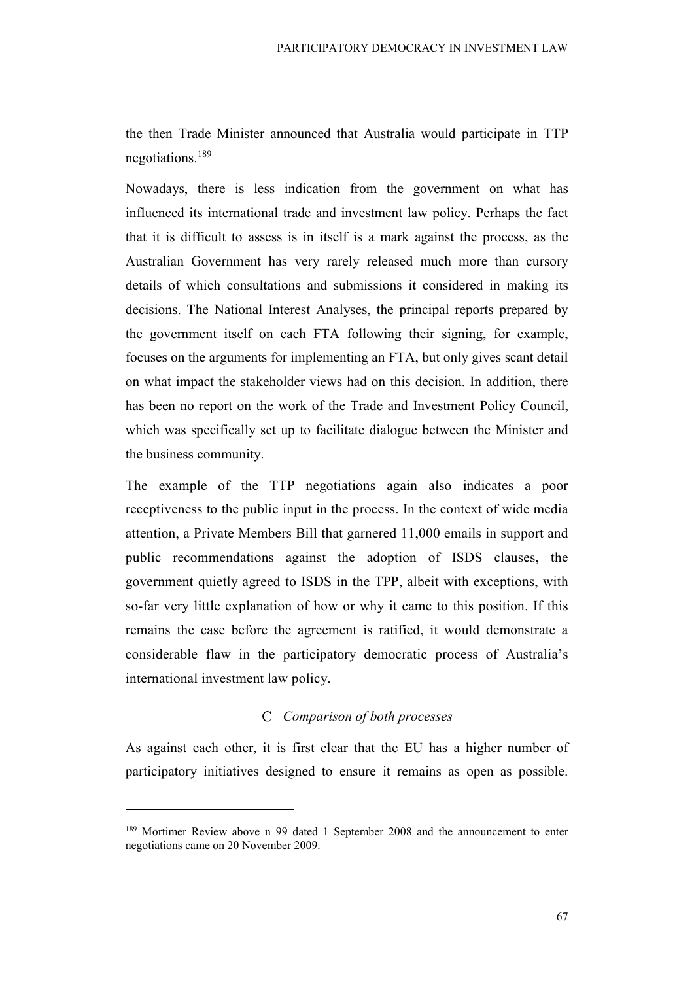the then Trade Minister announced that Australia would participate in TTP negotiations.<sup>189</sup>

Nowadays, there is less indication from the government on what has influenced its international trade and investment law policy. Perhaps the fact that it is difficult to assess is in itself is a mark against the process, as the Australian Government has very rarely released much more than cursory details of which consultations and submissions it considered in making its decisions. The National Interest Analyses, the principal reports prepared by the government itself on each FTA following their signing, for example, focuses on the arguments for implementing an FTA, but only gives scant detail on what impact the stakeholder views had on this decision. In addition, there has been no report on the work of the Trade and Investment Policy Council, which was specifically set up to facilitate dialogue between the Minister and the business community.

The example of the TTP negotiations again also indicates a poor receptiveness to the public input in the process. In the context of wide media attention, a Private Members Bill that garnered 11,000 emails in support and public recommendations against the adoption of ISDS clauses, the government quietly agreed to ISDS in the TPP, albeit with exceptions, with so-far very little explanation of how or why it came to this position. If this remains the case before the agreement is ratified, it would demonstrate a considerable flaw in the participatory democratic process of Australia's international investment law policy.

## C Comparison of both processes

As against each other, it is first clear that the EU has a higher number of participatory initiatives designed to ensure it remains as open as possible.

<sup>&</sup>lt;sup>189</sup> Mortimer Review above n 99 dated 1 September 2008 and the announcement to enter negotiations came on 20 November 2009.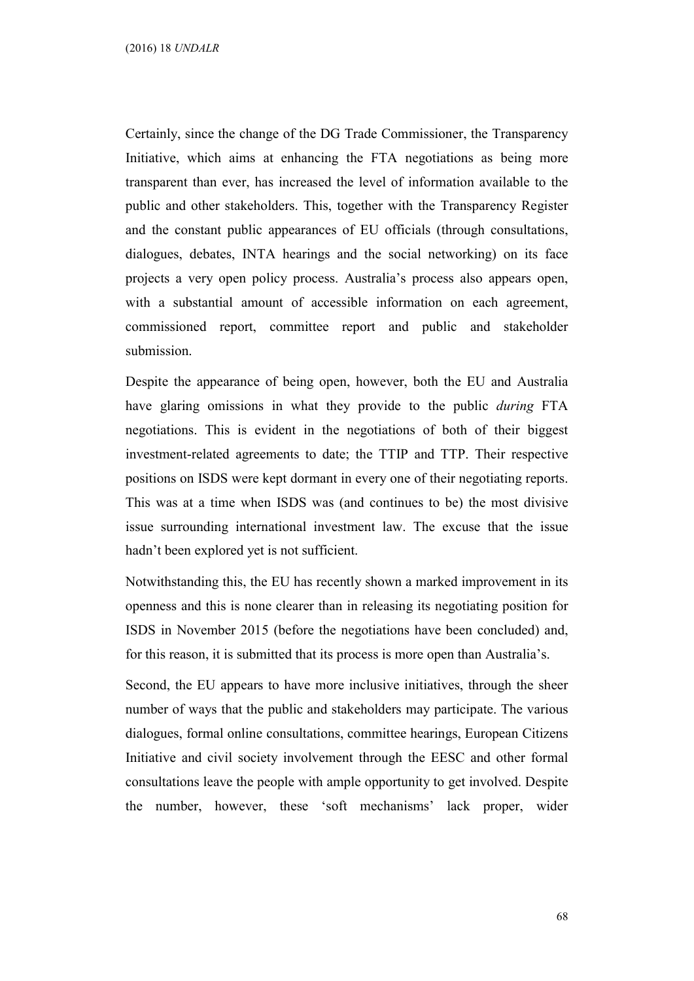Certainly, since the change of the DG Trade Commissioner, the Transparency Initiative, which aims at enhancing the FTA negotiations as being more transparent than ever, has increased the level of information available to the public and other stakeholders. This, together with the Transparency Register and the constant public appearances of EU officials (through consultations, dialogues, debates, INTA hearings and the social networking) on its face projects a very open policy process. Australia's process also appears open, with a substantial amount of accessible information on each agreement, commissioned report, committee report and public and stakeholder submission.

Despite the appearance of being open, however, both the EU and Australia have glaring omissions in what they provide to the public *during* FTA negotiations. This is evident in the negotiations of both of their biggest investment-related agreements to date; the TTIP and TTP. Their respective positions on ISDS were kept dormant in every one of their negotiating reports. This was at a time when ISDS was (and continues to be) the most divisive issue surrounding international investment law. The excuse that the issue hadn't been explored yet is not sufficient.

Notwithstanding this, the EU has recently shown a marked improvement in its openness and this is none clearer than in releasing its negotiating position for ISDS in November 2015 (before the negotiations have been concluded) and, for this reason, it is submitted that its process is more open than Australia's.

Second, the EU appears to have more inclusive initiatives, through the sheer number of ways that the public and stakeholders may participate. The various dialogues, formal online consultations, committee hearings, European Citizens Initiative and civil society involvement through the EESC and other formal consultations leave the people with ample opportunity to get involved. Despite the number, however, these 'soft mechanisms' lack proper, wider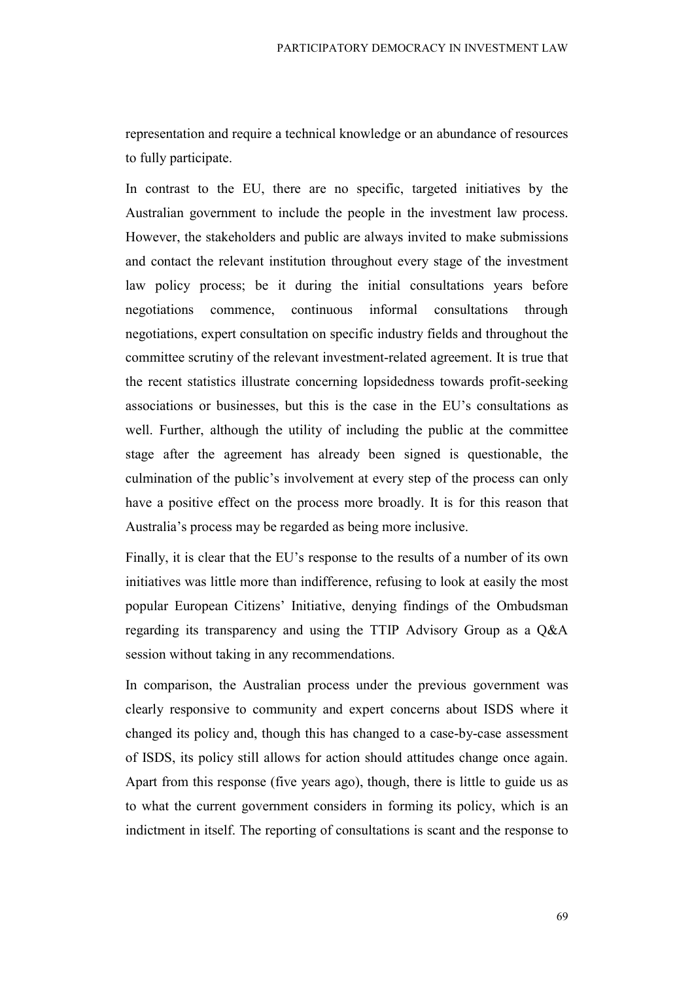representation and require a technical knowledge or an abundance of resources to fully participate.

In contrast to the EU, there are no specific, targeted initiatives by the Australian government to include the people in the investment law process. However, the stakeholders and public are always invited to make submissions and contact the relevant institution throughout every stage of the investment law policy process; be it during the initial consultations years before negotiations commence, continuous informal consultations through negotiations, expert consultation on specific industry fields and throughout the committee scrutiny of the relevant investment-related agreement. It is true that the recent statistics illustrate concerning lopsidedness towards profit-seeking associations or businesses, but this is the case in the EU's consultations as well. Further, although the utility of including the public at the committee stage after the agreement has already been signed is questionable, the culmination of the public's involvement at every step of the process can only have a positive effect on the process more broadly. It is for this reason that Australia's process may be regarded as being more inclusive.

Finally, it is clear that the EU's response to the results of a number of its own initiatives was little more than indifference, refusing to look at easily the most popular European Citizens' Initiative, denying findings of the Ombudsman regarding its transparency and using the TTIP Advisory Group as a Q&A session without taking in any recommendations.

In comparison, the Australian process under the previous government was clearly responsive to community and expert concerns about ISDS where it changed its policy and, though this has changed to a case-by-case assessment of ISDS, its policy still allows for action should attitudes change once again. Apart from this response (five years ago), though, there is little to guide us as to what the current government considers in forming its policy, which is an indictment in itself. The reporting of consultations is scant and the response to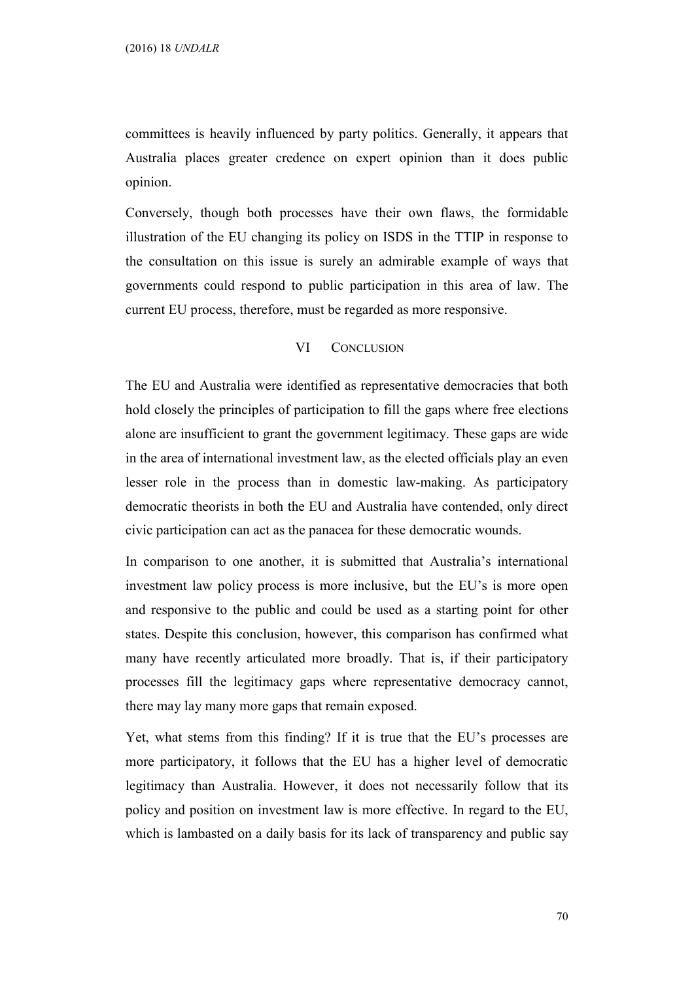committees is heavily influenced by party politics. Generally, it appears that Australia places greater credence on expert opinion than it does public opinion.

Conversely, though both processes have their own flaws, the formidable illustration of the EU changing its policy on ISDS in the TTIP in response to the consultation on this issue is surely an admirable example of ways that governments could respond to public participation in this area of law. The current EU process, therefore, must be regarded as more responsive.

#### VI CONCLUSION

The EU and Australia were identified as representative democracies that both hold closely the principles of participation to fill the gaps where free elections alone are insufficient to grant the government legitimacy. These gaps are wide in the area of international investment law, as the elected officials play an even lesser role in the process than in domestic law-making. As participatory democratic theorists in both the EU and Australia have contended, only direct civic participation can act as the panacea for these democratic wounds.

In comparison to one another, it is submitted that Australia's international investment law policy process is more inclusive, but the EU's is more open and responsive to the public and could be used as a starting point for other states. Despite this conclusion, however, this comparison has confirmed what many have recently articulated more broadly. That is, if their participatory processes fill the legitimacy gaps where representative democracy cannot, there may lay many more gaps that remain exposed.

Yet, what stems from this finding? If it is true that the EU's processes are more participatory, it follows that the EU has a higher level of democratic legitimacy than Australia. However, it does not necessarily follow that its policy and position on investment law is more effective. In regard to the EU, which is lambasted on a daily basis for its lack of transparency and public say